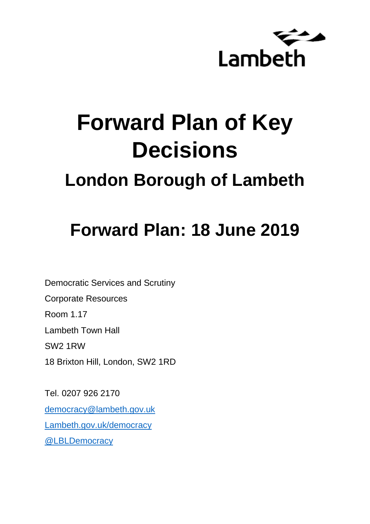

# **Forward Plan of Key Decisions**

### **London Borough of Lambeth**

## **Forward Plan: 18 June 2019**

Democratic Services and Scrutiny

Corporate Resources

Room 1.17

Lambeth Town Hall

SW2 1RW

18 Brixton Hill, London, SW2 1RD

Tel. 0207 926 2170 [democracy@lambeth.gov.uk](mailto:democracy@lambeth.gov.uk) [Lambeth.gov.uk/democracy](https://www.lambeth.gov.uk/elections-and-council/meetings-minutes-and-agendas/getting-involved-in-decision-making-guide) [@LBLDemocracy](https://twitter.com/LBLDemocracy?lang=en)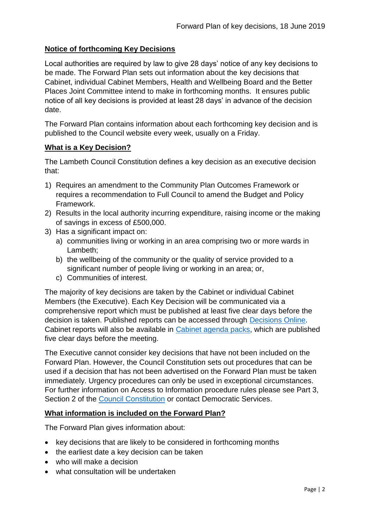#### **Notice of forthcoming Key Decisions**

Local authorities are required by law to give 28 days' notice of any key decisions to be made. The Forward Plan sets out information about the key decisions that Cabinet, individual Cabinet Members, Health and Wellbeing Board and the Better Places Joint Committee intend to make in forthcoming months. It ensures public notice of all key decisions is provided at least 28 days' in advance of the decision date.

The Forward Plan contains information about each forthcoming key decision and is published to the Council website every week, usually on a Friday.

#### **What is a Key Decision?**

The Lambeth Council Constitution defines a key decision as an executive decision that:

- 1) Requires an amendment to the Community Plan Outcomes Framework or requires a recommendation to Full Council to amend the Budget and Policy Framework.
- 2) Results in the local authority incurring expenditure, raising income or the making of savings in excess of £500,000.
- 3) Has a significant impact on:
	- a) communities living or working in an area comprising two or more wards in Lambeth;
	- b) the wellbeing of the community or the quality of service provided to a significant number of people living or working in an area; or,
	- c) Communities of interest.

The majority of key decisions are taken by the Cabinet or individual Cabinet Members (the Executive). Each Key Decision will be communicated via a comprehensive report which must be published at least five clear days before the decision is taken. Published reports can be accessed through [Decisions Online.](http://moderngov.lambeth.gov.uk/mgDelegatedDecisions.aspx?bcr=1&DM=0&DS=2&K=0&DR=&V=0) Cabinet reports will also be available in [Cabinet agenda packs,](https://moderngov.lambeth.gov.uk/ieListMeetings.aspx?CommitteeId=225) which are published five clear days before the meeting.

The Executive cannot consider key decisions that have not been included on the Forward Plan. However, the Council Constitution sets out procedures that can be used if a decision that has not been advertised on the Forward Plan must be taken immediately. Urgency procedures can only be used in exceptional circumstances. For further information on Access to Information procedure rules please see Part 3, Section 2 of the [Council Constitution](http://moderngov.lambeth.gov.uk/ieListMeetings.aspx?CId=738&info=1&MD=Constitution) or contact Democratic Services.

#### **What information is included on the Forward Plan?**

The Forward Plan gives information about:

- key decisions that are likely to be considered in forthcoming months
- the earliest date a key decision can be taken
- who will make a decision
- what consultation will be undertaken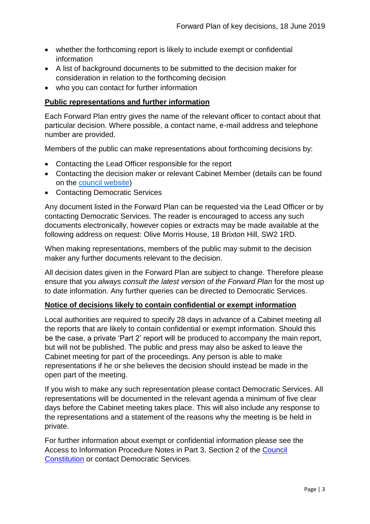- whether the forthcoming report is likely to include exempt or confidential information
- A list of background documents to be submitted to the decision maker for consideration in relation to the forthcoming decision
- who you can contact for further information

#### **Public representations and further information**

Each Forward Plan entry gives the name of the relevant officer to contact about that particular decision. Where possible, a contact name, e-mail address and telephone number are provided.

Members of the public can make representations about forthcoming decisions by:

- Contacting the Lead Officer responsible for the report
- Contacting the decision maker or relevant Cabinet Member (details can be found on the [council website\)](http://moderngov.lambeth.gov.uk/mgMemberIndex.aspx?bcr=1)
- Contacting Democratic Services

Any document listed in the Forward Plan can be requested via the Lead Officer or by contacting Democratic Services. The reader is encouraged to access any such documents electronically, however copies or extracts may be made available at the following address on request: Olive Morris House, 18 Brixton Hill, SW2 1RD.

When making representations, members of the public may submit to the decision maker any further documents relevant to the decision.

All decision dates given in the Forward Plan are subject to change. Therefore please ensure that you *always consult the latest version of the Forward Plan* for the most up to date information. Any further queries can be directed to Democratic Services.

#### **Notice of decisions likely to contain confidential or exempt information**

Local authorities are required to specify 28 days in advance of a Cabinet meeting all the reports that are likely to contain confidential or exempt information. Should this be the case, a private 'Part 2' report will be produced to accompany the main report, but will not be published. The public and press may also be asked to leave the Cabinet meeting for part of the proceedings. Any person is able to make representations if he or she believes the decision should instead be made in the open part of the meeting.

If you wish to make any such representation please contact Democratic Services. All representations will be documented in the relevant agenda a minimum of five clear days before the Cabinet meeting takes place. This will also include any response to the representations and a statement of the reasons why the meeting is be held in private.

For further information about exempt or confidential information please see the Access to Information Procedure Notes in Part 3, Section 2 of the [Council](http://www.lambeth.gov.uk/sites/default/files/ec-Council-Constitution-2014-15-approved-with-changes-November-2014.pdf)  [Constitution](http://www.lambeth.gov.uk/sites/default/files/ec-Council-Constitution-2014-15-approved-with-changes-November-2014.pdf) or contact Democratic Services.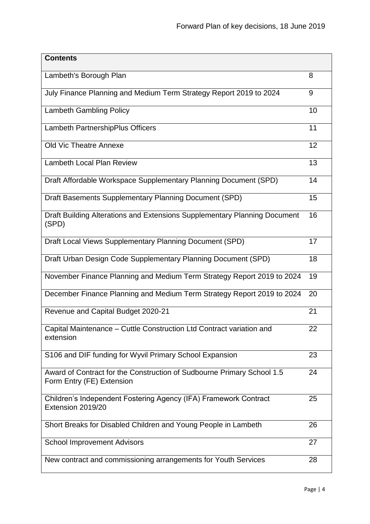| <b>Contents</b>                                                                                     |    |
|-----------------------------------------------------------------------------------------------------|----|
| Lambeth's Borough Plan                                                                              | 8  |
| July Finance Planning and Medium Term Strategy Report 2019 to 2024                                  | 9  |
| <b>Lambeth Gambling Policy</b>                                                                      | 10 |
| Lambeth PartnershipPlus Officers                                                                    | 11 |
| <b>Old Vic Theatre Annexe</b>                                                                       | 12 |
| <b>Lambeth Local Plan Review</b>                                                                    | 13 |
| Draft Affordable Workspace Supplementary Planning Document (SPD)                                    | 14 |
| Draft Basements Supplementary Planning Document (SPD)                                               | 15 |
| Draft Building Alterations and Extensions Supplementary Planning Document<br>(SPD)                  | 16 |
| Draft Local Views Supplementary Planning Document (SPD)                                             | 17 |
| Draft Urban Design Code Supplementary Planning Document (SPD)                                       | 18 |
| November Finance Planning and Medium Term Strategy Report 2019 to 2024                              | 19 |
| December Finance Planning and Medium Term Strategy Report 2019 to 2024                              | 20 |
| Revenue and Capital Budget 2020-21                                                                  | 21 |
| Capital Maintenance – Cuttle Construction Ltd Contract variation and<br>extension                   | 22 |
| S106 and DIF funding for Wyvil Primary School Expansion                                             | 23 |
| Award of Contract for the Construction of Sudbourne Primary School 1.5<br>Form Entry (FE) Extension | 24 |
| Children's Independent Fostering Agency (IFA) Framework Contract<br>Extension 2019/20               | 25 |
| Short Breaks for Disabled Children and Young People in Lambeth                                      | 26 |
| <b>School Improvement Advisors</b>                                                                  | 27 |
| New contract and commissioning arrangements for Youth Services                                      | 28 |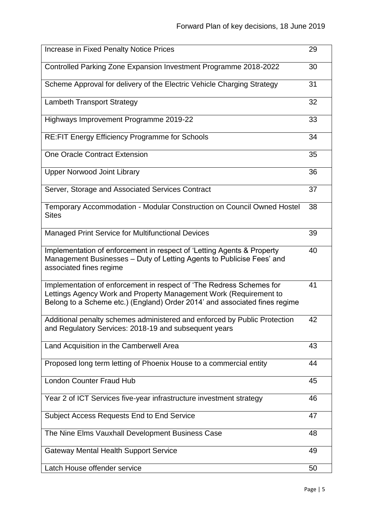| Increase in Fixed Penalty Notice Prices                                                                                                                                                                                 | 29 |
|-------------------------------------------------------------------------------------------------------------------------------------------------------------------------------------------------------------------------|----|
|                                                                                                                                                                                                                         |    |
| Controlled Parking Zone Expansion Investment Programme 2018-2022                                                                                                                                                        | 30 |
| Scheme Approval for delivery of the Electric Vehicle Charging Strategy                                                                                                                                                  | 31 |
| <b>Lambeth Transport Strategy</b>                                                                                                                                                                                       | 32 |
| Highways Improvement Programme 2019-22                                                                                                                                                                                  | 33 |
| <b>RE:FIT Energy Efficiency Programme for Schools</b>                                                                                                                                                                   | 34 |
| <b>One Oracle Contract Extension</b>                                                                                                                                                                                    | 35 |
| <b>Upper Norwood Joint Library</b>                                                                                                                                                                                      | 36 |
| Server, Storage and Associated Services Contract                                                                                                                                                                        | 37 |
| Temporary Accommodation - Modular Construction on Council Owned Hostel<br><b>Sites</b>                                                                                                                                  | 38 |
| <b>Managed Print Service for Multifunctional Devices</b>                                                                                                                                                                | 39 |
| Implementation of enforcement in respect of 'Letting Agents & Property<br>Management Businesses – Duty of Letting Agents to Publicise Fees' and<br>associated fines regime                                              | 40 |
| Implementation of enforcement in respect of 'The Redress Schemes for<br>Lettings Agency Work and Property Management Work (Requirement to<br>Belong to a Scheme etc.) (England) Order 2014' and associated fines regime | 41 |
| Additional penalty schemes administered and enforced by Public Protection<br>and Regulatory Services: 2018-19 and subsequent years                                                                                      | 42 |
| Land Acquisition in the Camberwell Area                                                                                                                                                                                 | 43 |
| Proposed long term letting of Phoenix House to a commercial entity                                                                                                                                                      | 44 |
| <b>London Counter Fraud Hub</b>                                                                                                                                                                                         | 45 |
| Year 2 of ICT Services five-year infrastructure investment strategy                                                                                                                                                     | 46 |
| Subject Access Requests End to End Service                                                                                                                                                                              | 47 |
| The Nine Elms Vauxhall Development Business Case                                                                                                                                                                        | 48 |
| <b>Gateway Mental Health Support Service</b>                                                                                                                                                                            | 49 |
| Latch House offender service                                                                                                                                                                                            | 50 |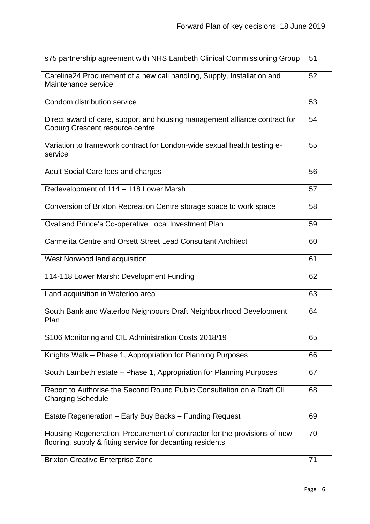| s75 partnership agreement with NHS Lambeth Clinical Commissioning Group                                                                 | 51 |
|-----------------------------------------------------------------------------------------------------------------------------------------|----|
| Careline24 Procurement of a new call handling, Supply, Installation and<br>Maintenance service.                                         | 52 |
| Condom distribution service                                                                                                             | 53 |
| Direct award of care, support and housing management alliance contract for<br><b>Coburg Crescent resource centre</b>                    | 54 |
| Variation to framework contract for London-wide sexual health testing e-<br>service                                                     | 55 |
| Adult Social Care fees and charges                                                                                                      | 56 |
| Redevelopment of 114 - 118 Lower Marsh                                                                                                  | 57 |
| Conversion of Brixton Recreation Centre storage space to work space                                                                     | 58 |
| Oval and Prince's Co-operative Local Investment Plan                                                                                    | 59 |
| Carmelita Centre and Orsett Street Lead Consultant Architect                                                                            | 60 |
| West Norwood land acquisition                                                                                                           | 61 |
| 114-118 Lower Marsh: Development Funding                                                                                                | 62 |
| Land acquisition in Waterloo area                                                                                                       | 63 |
| South Bank and Waterloo Neighbours Draft Neighbourhood Development<br>Plan                                                              | 64 |
| S106 Monitoring and CIL Administration Costs 2018/19                                                                                    | 65 |
| Knights Walk - Phase 1, Appropriation for Planning Purposes                                                                             | 66 |
| South Lambeth estate – Phase 1, Appropriation for Planning Purposes                                                                     | 67 |
| Report to Authorise the Second Round Public Consultation on a Draft CIL<br><b>Charging Schedule</b>                                     | 68 |
| Estate Regeneration - Early Buy Backs - Funding Request                                                                                 | 69 |
| Housing Regeneration: Procurement of contractor for the provisions of new<br>flooring, supply & fitting service for decanting residents | 70 |
| <b>Brixton Creative Enterprise Zone</b>                                                                                                 | 71 |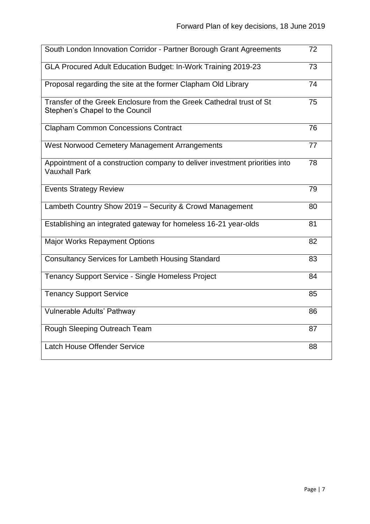| South London Innovation Corridor - Partner Borough Grant Agreements                                     | 72 |
|---------------------------------------------------------------------------------------------------------|----|
| GLA Procured Adult Education Budget: In-Work Training 2019-23                                           | 73 |
| Proposal regarding the site at the former Clapham Old Library                                           | 74 |
| Transfer of the Greek Enclosure from the Greek Cathedral trust of St<br>Stephen's Chapel to the Council | 75 |
| <b>Clapham Common Concessions Contract</b>                                                              | 76 |
| West Norwood Cemetery Management Arrangements                                                           | 77 |
| Appointment of a construction company to deliver investment priorities into<br><b>Vauxhall Park</b>     | 78 |
| <b>Events Strategy Review</b>                                                                           | 79 |
| Lambeth Country Show 2019 - Security & Crowd Management                                                 | 80 |
| Establishing an integrated gateway for homeless 16-21 year-olds                                         | 81 |
| <b>Major Works Repayment Options</b>                                                                    | 82 |
| <b>Consultancy Services for Lambeth Housing Standard</b>                                                | 83 |
| <b>Tenancy Support Service - Single Homeless Project</b>                                                | 84 |
| <b>Tenancy Support Service</b>                                                                          | 85 |
| Vulnerable Adults' Pathway                                                                              | 86 |
| Rough Sleeping Outreach Team                                                                            | 87 |
| <b>Latch House Offender Service</b>                                                                     | 88 |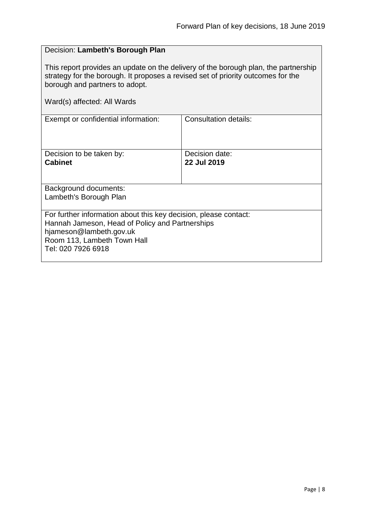#### <span id="page-7-0"></span>Decision: **Lambeth's Borough Plan**

This report provides an update on the delivery of the borough plan, the partnership strategy for the borough. It proposes a revised set of priority outcomes for the borough and partners to adopt.

| Exempt or confidential information:                                                                                                                                                                 | Consultation details:         |
|-----------------------------------------------------------------------------------------------------------------------------------------------------------------------------------------------------|-------------------------------|
| Decision to be taken by:<br><b>Cabinet</b>                                                                                                                                                          | Decision date:<br>22 Jul 2019 |
| Background documents:<br>Lambeth's Borough Plan                                                                                                                                                     |                               |
| For further information about this key decision, please contact:<br>Hannah Jameson, Head of Policy and Partnerships<br>hjameson@lambeth.gov.uk<br>Room 113, Lambeth Town Hall<br>Tel: 020 7926 6918 |                               |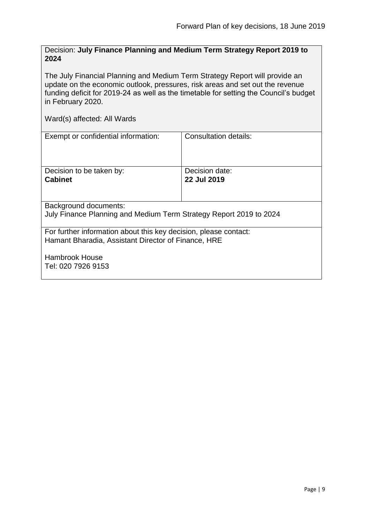<span id="page-8-0"></span>Decision: **July Finance Planning and Medium Term Strategy Report 2019 to 2024**

The July Financial Planning and Medium Term Strategy Report will provide an update on the economic outlook, pressures, risk areas and set out the revenue funding deficit for 2019-24 as well as the timetable for setting the Council's budget in February 2020.

| Exempt or confidential information:                                                                                     | Consultation details:         |  |
|-------------------------------------------------------------------------------------------------------------------------|-------------------------------|--|
| Decision to be taken by:<br><b>Cabinet</b>                                                                              | Decision date:<br>22 Jul 2019 |  |
| Background documents:<br>July Finance Planning and Medium Term Strategy Report 2019 to 2024                             |                               |  |
| For further information about this key decision, please contact:<br>Hamant Bharadia, Assistant Director of Finance, HRE |                               |  |
| <b>Hambrook House</b><br>Tel: 020 7926 9153                                                                             |                               |  |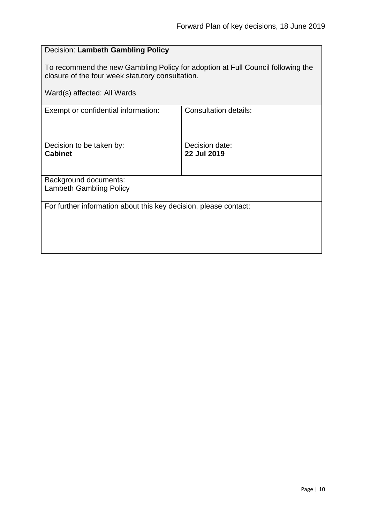#### <span id="page-9-0"></span>Decision: **Lambeth Gambling Policy**

To recommend the new Gambling Policy for adoption at Full Council following the closure of the four week statutory consultation.

Ward(s) affected: All Wards Exempt or confidential information: Consultation details: Decision to be taken by: **Cabinet** Decision date: **22 Jul 2019** Background documents: Lambeth Gambling Policy For further information about this key decision, please contact: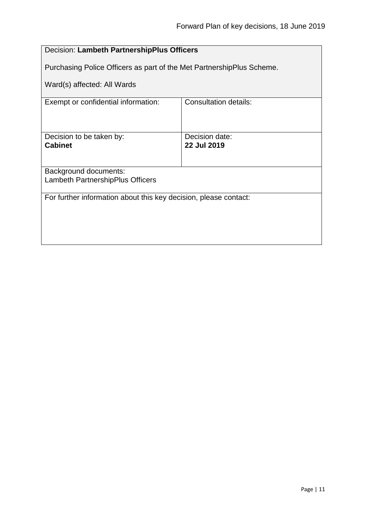<span id="page-10-0"></span>

| Decision: Lambeth PartnershipPlus Officers                            |                               |  |
|-----------------------------------------------------------------------|-------------------------------|--|
| Purchasing Police Officers as part of the Met PartnershipPlus Scheme. |                               |  |
| Ward(s) affected: All Wards                                           |                               |  |
| Exempt or confidential information:                                   | <b>Consultation details:</b>  |  |
| Decision to be taken by:<br><b>Cabinet</b>                            | Decision date:<br>22 Jul 2019 |  |
| Background documents:                                                 |                               |  |
| Lambeth PartnershipPlus Officers                                      |                               |  |
| For further information about this key decision, please contact:      |                               |  |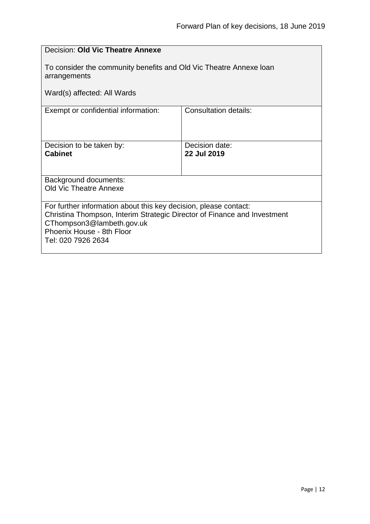<span id="page-11-0"></span>

| Decision: Old Vic Theatre Annexe                                                                                  |                              |  |
|-------------------------------------------------------------------------------------------------------------------|------------------------------|--|
| To consider the community benefits and Old Vic Theatre Annexe Ioan<br>arrangements<br>Ward(s) affected: All Wards |                              |  |
| Exempt or confidential information:                                                                               | <b>Consultation details:</b> |  |
|                                                                                                                   |                              |  |
| Decision to be taken by:                                                                                          | Decision date:               |  |
| <b>Cabinet</b>                                                                                                    | 22 Jul 2019                  |  |
| Background documents:                                                                                             |                              |  |
| <b>Old Vic Theatre Annexe</b>                                                                                     |                              |  |
| For further information about this key decision, please contact:                                                  |                              |  |
| Christina Thompson, Interim Strategic Director of Finance and Investment<br>CThompson3@lambeth.gov.uk             |                              |  |
| Phoenix House - 8th Floor                                                                                         |                              |  |
| Tel: 020 7926 2634                                                                                                |                              |  |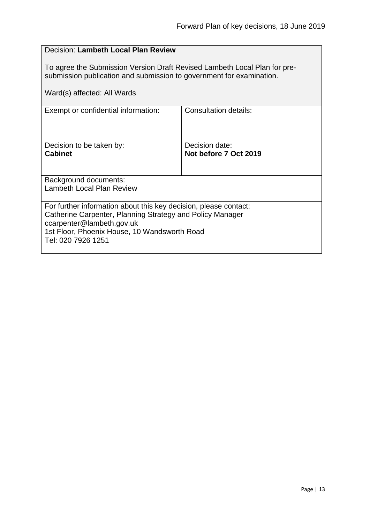#### <span id="page-12-0"></span>Decision: **Lambeth Local Plan Review**

To agree the Submission Version Draft Revised Lambeth Local Plan for presubmission publication and submission to government for examination.

| Ward(s) affected: All Wards                                                                                                                                                                                                      |                                         |  |
|----------------------------------------------------------------------------------------------------------------------------------------------------------------------------------------------------------------------------------|-----------------------------------------|--|
| Exempt or confidential information:                                                                                                                                                                                              | <b>Consultation details:</b>            |  |
| Decision to be taken by:<br><b>Cabinet</b>                                                                                                                                                                                       | Decision date:<br>Not before 7 Oct 2019 |  |
| <b>Background documents:</b><br>Lambeth Local Plan Review                                                                                                                                                                        |                                         |  |
| For further information about this key decision, please contact:<br>Catherine Carpenter, Planning Strategy and Policy Manager<br>ccarpenter@lambeth.gov.uk<br>1st Floor, Phoenix House, 10 Wandsworth Road<br>Tel: 020 7926 1251 |                                         |  |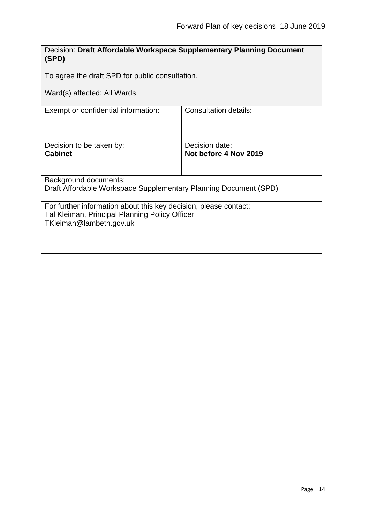<span id="page-13-0"></span>

| Decision: Draft Affordable Workspace Supplementary Planning Document<br>(SPD)                                                                 |                                         |  |
|-----------------------------------------------------------------------------------------------------------------------------------------------|-----------------------------------------|--|
| To agree the draft SPD for public consultation.                                                                                               |                                         |  |
| Ward(s) affected: All Wards                                                                                                                   |                                         |  |
| Exempt or confidential information:                                                                                                           | Consultation details:                   |  |
| Decision to be taken by:<br><b>Cabinet</b>                                                                                                    | Decision date:<br>Not before 4 Nov 2019 |  |
| Background documents:<br>Draft Affordable Workspace Supplementary Planning Document (SPD)                                                     |                                         |  |
| For further information about this key decision, please contact:<br>Tal Kleiman, Principal Planning Policy Officer<br>TKleiman@lambeth.gov.uk |                                         |  |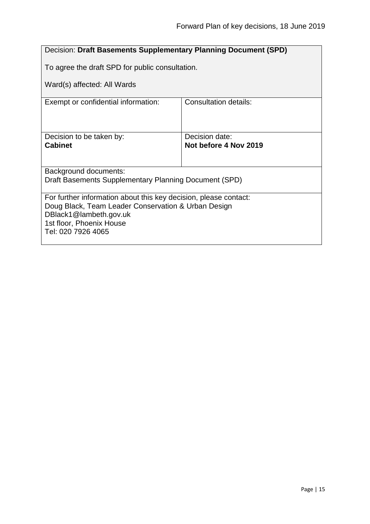<span id="page-14-0"></span>

| Decision: Draft Basements Supplementary Planning Document (SPD)                                                                                                                                     |                                         |  |
|-----------------------------------------------------------------------------------------------------------------------------------------------------------------------------------------------------|-----------------------------------------|--|
| To agree the draft SPD for public consultation.                                                                                                                                                     |                                         |  |
| Ward(s) affected: All Wards                                                                                                                                                                         |                                         |  |
| Exempt or confidential information:                                                                                                                                                                 | Consultation details:                   |  |
| Decision to be taken by:<br><b>Cabinet</b>                                                                                                                                                          | Decision date:<br>Not before 4 Nov 2019 |  |
| Background documents:                                                                                                                                                                               |                                         |  |
| Draft Basements Supplementary Planning Document (SPD)                                                                                                                                               |                                         |  |
| For further information about this key decision, please contact:<br>Doug Black, Team Leader Conservation & Urban Design<br>DBlack1@lambeth.gov.uk<br>1st floor, Phoenix House<br>Tel: 020 7926 4065 |                                         |  |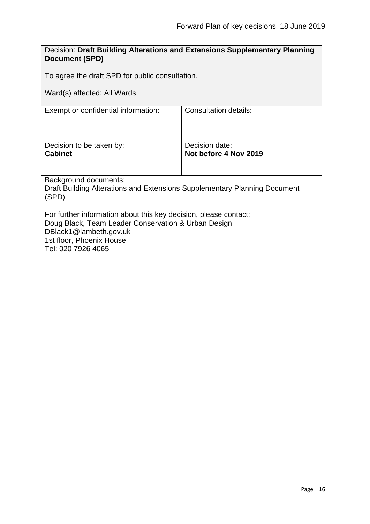<span id="page-15-0"></span>

| Decision: Draft Building Alterations and Extensions Supplementary Planning<br><b>Document (SPD)</b>                                                                                                 |                                         |  |
|-----------------------------------------------------------------------------------------------------------------------------------------------------------------------------------------------------|-----------------------------------------|--|
| To agree the draft SPD for public consultation.                                                                                                                                                     |                                         |  |
| Ward(s) affected: All Wards                                                                                                                                                                         |                                         |  |
| Exempt or confidential information:                                                                                                                                                                 | <b>Consultation details:</b>            |  |
| Decision to be taken by:<br><b>Cabinet</b>                                                                                                                                                          | Decision date:<br>Not before 4 Nov 2019 |  |
| <b>Background documents:</b><br>Draft Building Alterations and Extensions Supplementary Planning Document<br>(SPD)                                                                                  |                                         |  |
| For further information about this key decision, please contact:<br>Doug Black, Team Leader Conservation & Urban Design<br>DBlack1@lambeth.gov.uk<br>1st floor, Phoenix House<br>Tel: 020 7926 4065 |                                         |  |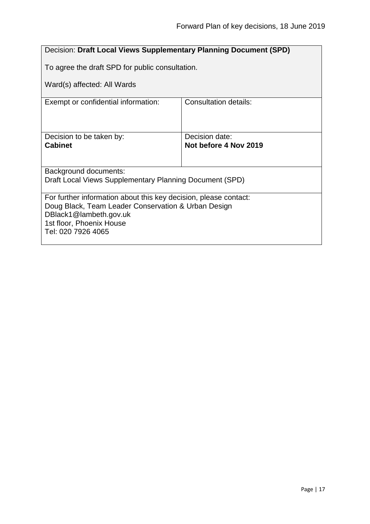<span id="page-16-0"></span>

| Decision: Draft Local Views Supplementary Planning Document (SPD)             |                       |  |
|-------------------------------------------------------------------------------|-----------------------|--|
| To agree the draft SPD for public consultation.                               |                       |  |
| Ward(s) affected: All Wards                                                   |                       |  |
|                                                                               |                       |  |
| Exempt or confidential information:                                           | Consultation details: |  |
|                                                                               |                       |  |
|                                                                               |                       |  |
| Decision to be taken by:                                                      | Decision date:        |  |
| <b>Cabinet</b>                                                                | Not before 4 Nov 2019 |  |
|                                                                               |                       |  |
| Background documents:                                                         |                       |  |
| Draft Local Views Supplementary Planning Document (SPD)                       |                       |  |
|                                                                               |                       |  |
| For further information about this key decision, please contact:              |                       |  |
| Doug Black, Team Leader Conservation & Urban Design<br>DBlack1@lambeth.gov.uk |                       |  |
| 1st floor, Phoenix House                                                      |                       |  |
| Tel: 020 7926 4065                                                            |                       |  |
|                                                                               |                       |  |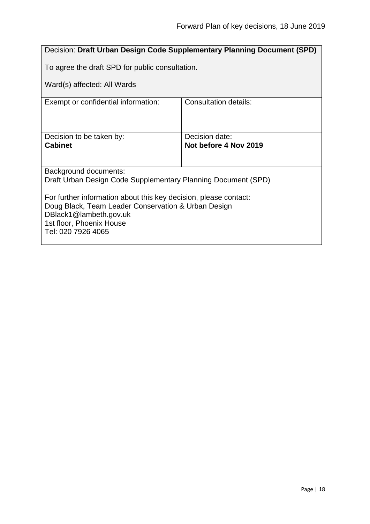<span id="page-17-0"></span>

| Decision: Draft Urban Design Code Supplementary Planning Document (SPD)       |                                         |  |
|-------------------------------------------------------------------------------|-----------------------------------------|--|
| To agree the draft SPD for public consultation.                               |                                         |  |
| Ward(s) affected: All Wards                                                   |                                         |  |
| Exempt or confidential information:                                           | Consultation details:                   |  |
|                                                                               |                                         |  |
| Decision to be taken by:<br><b>Cabinet</b>                                    | Decision date:<br>Not before 4 Nov 2019 |  |
|                                                                               |                                         |  |
| <b>Background documents:</b>                                                  |                                         |  |
| Draft Urban Design Code Supplementary Planning Document (SPD)                 |                                         |  |
| For further information about this key decision, please contact:              |                                         |  |
| Doug Black, Team Leader Conservation & Urban Design<br>DBlack1@lambeth.gov.uk |                                         |  |
| 1st floor, Phoenix House                                                      |                                         |  |
| Tel: 020 7926 4065                                                            |                                         |  |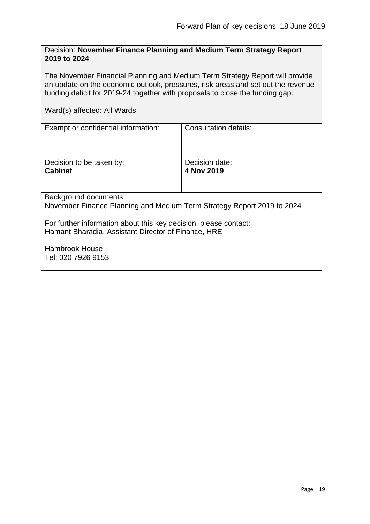#### <span id="page-18-0"></span>Decision: **November Finance Planning and Medium Term Strategy Report 2019 to 2024**

The November Financial Planning and Medium Term Strategy Report will provide an update on the economic outlook, pressures, risk areas and set out the revenue funding deficit for 2019-24 together with proposals to close the funding gap.

| Exempt or confidential information:                                                                                     | Consultation details:        |  |
|-------------------------------------------------------------------------------------------------------------------------|------------------------------|--|
| Decision to be taken by:<br><b>Cabinet</b>                                                                              | Decision date:<br>4 Nov 2019 |  |
| Background documents:                                                                                                   |                              |  |
| November Finance Planning and Medium Term Strategy Report 2019 to 2024                                                  |                              |  |
| For further information about this key decision, please contact:<br>Hamant Bharadia, Assistant Director of Finance, HRE |                              |  |
| Hambrook House<br>Tel: 020 7926 9153                                                                                    |                              |  |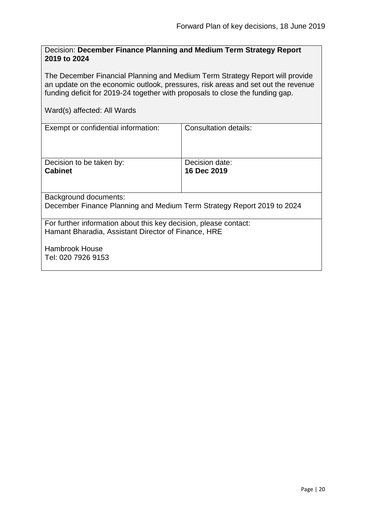#### <span id="page-19-0"></span>Decision: **December Finance Planning and Medium Term Strategy Report 2019 to 2024**

The December Financial Planning and Medium Term Strategy Report will provide an update on the economic outlook, pressures, risk areas and set out the revenue funding deficit for 2019-24 together with proposals to close the funding gap.

| Exempt or confidential information:                                                                                     | Consultation details:         |  |
|-------------------------------------------------------------------------------------------------------------------------|-------------------------------|--|
| Decision to be taken by:<br><b>Cabinet</b>                                                                              | Decision date:<br>16 Dec 2019 |  |
| <b>Background documents:</b>                                                                                            |                               |  |
| December Finance Planning and Medium Term Strategy Report 2019 to 2024                                                  |                               |  |
| For further information about this key decision, please contact:<br>Hamant Bharadia, Assistant Director of Finance, HRE |                               |  |
| <b>Hambrook House</b><br>Tel: 020 7926 9153                                                                             |                               |  |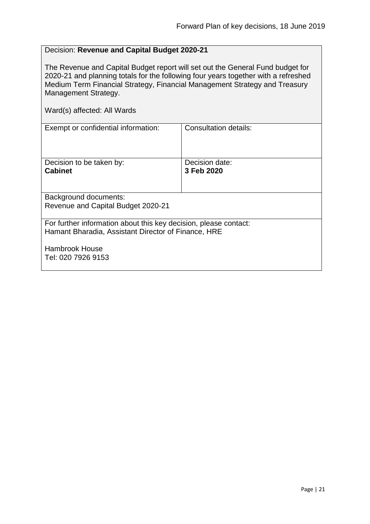#### <span id="page-20-0"></span>Decision: **Revenue and Capital Budget 2020-21**

The Revenue and Capital Budget report will set out the General Fund budget for 2020-21 and planning totals for the following four years together with a refreshed Medium Term Financial Strategy, Financial Management Strategy and Treasury Management Strategy.

| Exempt or confidential information:                                                                                     | Consultation details:        |  |
|-------------------------------------------------------------------------------------------------------------------------|------------------------------|--|
| Decision to be taken by:<br><b>Cabinet</b>                                                                              | Decision date:<br>3 Feb 2020 |  |
| Background documents:                                                                                                   |                              |  |
| Revenue and Capital Budget 2020-21                                                                                      |                              |  |
| For further information about this key decision, please contact:<br>Hamant Bharadia, Assistant Director of Finance, HRE |                              |  |
| <b>Hambrook House</b><br>Tel: 020 7926 9153                                                                             |                              |  |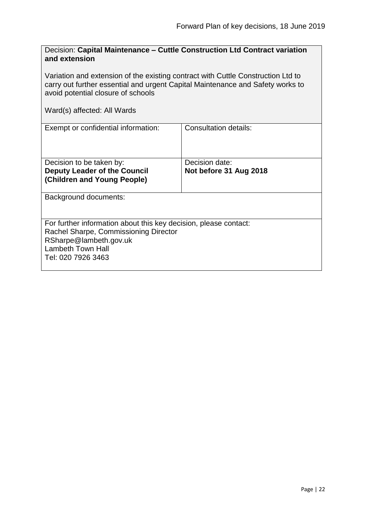<span id="page-21-0"></span>

| Decision: Capital Maintenance - Cuttle Construction Ltd Contract variation |  |
|----------------------------------------------------------------------------|--|
| and extension                                                              |  |

Variation and extension of the existing contract with Cuttle Construction Ltd to carry out further essential and urgent Capital Maintenance and Safety works to avoid potential closure of schools

| Exempt or confidential information:                                                                                                                                                   | Consultation details:  |
|---------------------------------------------------------------------------------------------------------------------------------------------------------------------------------------|------------------------|
| Decision to be taken by:                                                                                                                                                              | Decision date:         |
| <b>Deputy Leader of the Council</b><br>(Children and Young People)                                                                                                                    | Not before 31 Aug 2018 |
| Background documents:                                                                                                                                                                 |                        |
| For further information about this key decision, please contact:<br>Rachel Sharpe, Commissioning Director<br>RSharpe@lambeth.gov.uk<br><b>Lambeth Town Hall</b><br>Tel: 020 7926 3463 |                        |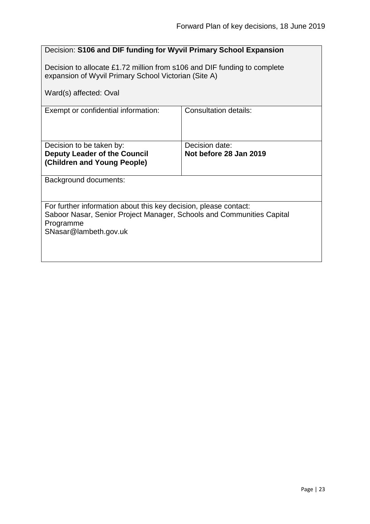<span id="page-22-0"></span>

| Decision: S106 and DIF funding for Wyvil Primary School Expansion                                                                                                               |                                          |  |
|---------------------------------------------------------------------------------------------------------------------------------------------------------------------------------|------------------------------------------|--|
| Decision to allocate £1.72 million from s106 and DIF funding to complete<br>expansion of Wyvil Primary School Victorian (Site A)                                                |                                          |  |
| Ward(s) affected: Oval                                                                                                                                                          |                                          |  |
| Exempt or confidential information:                                                                                                                                             | <b>Consultation details:</b>             |  |
| Decision to be taken by:<br><b>Deputy Leader of the Council</b><br>(Children and Young People)                                                                                  | Decision date:<br>Not before 28 Jan 2019 |  |
| Background documents:                                                                                                                                                           |                                          |  |
| For further information about this key decision, please contact:<br>Saboor Nasar, Senior Project Manager, Schools and Communities Capital<br>Programme<br>SNasar@lambeth.gov.uk |                                          |  |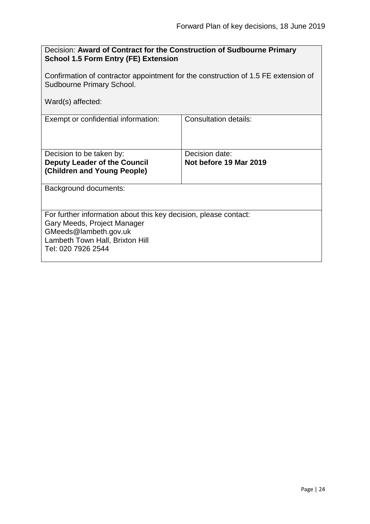<span id="page-23-0"></span>

| Decision: Award of Contract for the Construction of Sudbourne Primary<br><b>School 1.5 Form Entry (FE) Extension</b>                                                              |                                          |  |
|-----------------------------------------------------------------------------------------------------------------------------------------------------------------------------------|------------------------------------------|--|
| Confirmation of contractor appointment for the construction of 1.5 FE extension of<br><b>Sudbourne Primary School.</b>                                                            |                                          |  |
| Ward(s) affected:                                                                                                                                                                 |                                          |  |
| Exempt or confidential information:                                                                                                                                               | Consultation details:                    |  |
| Decision to be taken by:<br><b>Deputy Leader of the Council</b><br>(Children and Young People)                                                                                    | Decision date:<br>Not before 19 Mar 2019 |  |
| Background documents:                                                                                                                                                             |                                          |  |
| For further information about this key decision, please contact:<br>Gary Meeds, Project Manager<br>GMeeds@lambeth.gov.uk<br>Lambeth Town Hall, Brixton Hill<br>Tel: 020 7926 2544 |                                          |  |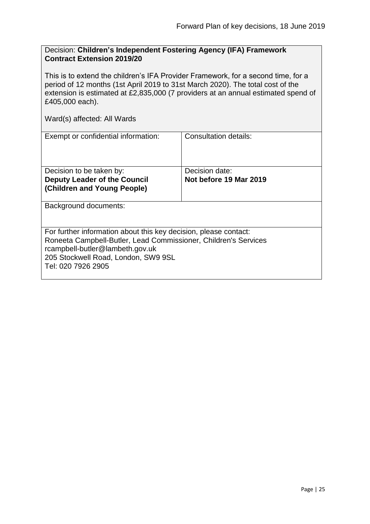#### <span id="page-24-0"></span>Decision: **Children's Independent Fostering Agency (IFA) Framework Contract Extension 2019/20**

This is to extend the children's IFA Provider Framework, for a second time, for a period of 12 months (1st April 2019 to 31st March 2020). The total cost of the extension is estimated at £2,835,000 (7 providers at an annual estimated spend of £405,000 each).

| Exempt or confidential information:                                                                                                                                                                                                 | Consultation details:  |
|-------------------------------------------------------------------------------------------------------------------------------------------------------------------------------------------------------------------------------------|------------------------|
| Decision to be taken by:                                                                                                                                                                                                            | Decision date:         |
| <b>Deputy Leader of the Council</b>                                                                                                                                                                                                 | Not before 19 Mar 2019 |
|                                                                                                                                                                                                                                     |                        |
| (Children and Young People)                                                                                                                                                                                                         |                        |
| Background documents:                                                                                                                                                                                                               |                        |
| For further information about this key decision, please contact:<br>Roneeta Campbell-Butler, Lead Commissioner, Children's Services<br>rcampbell-butler@lambeth.gov.uk<br>205 Stockwell Road, London, SW9 9SL<br>Tel: 020 7926 2905 |                        |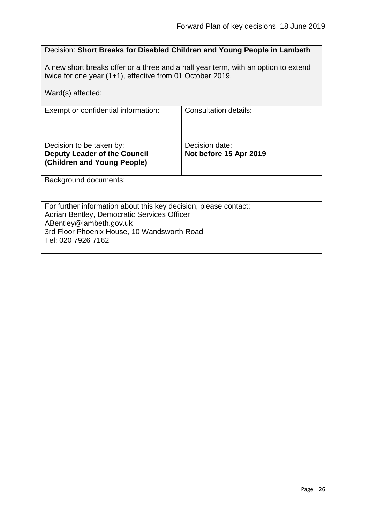#### <span id="page-25-0"></span>Decision: **Short Breaks for Disabled Children and Young People in Lambeth**

A new short breaks offer or a three and a half year term, with an option to extend twice for one year (1+1), effective from 01 October 2019.

| Ward(s) affected:                                                                                                                                                                                               |                                          |
|-----------------------------------------------------------------------------------------------------------------------------------------------------------------------------------------------------------------|------------------------------------------|
| Exempt or confidential information:                                                                                                                                                                             | <b>Consultation details:</b>             |
| Decision to be taken by:<br><b>Deputy Leader of the Council</b><br>(Children and Young People)                                                                                                                  | Decision date:<br>Not before 15 Apr 2019 |
| <b>Background documents:</b>                                                                                                                                                                                    |                                          |
| For further information about this key decision, please contact:<br>Adrian Bentley, Democratic Services Officer<br>ABentley@lambeth.gov.uk<br>3rd Floor Phoenix House, 10 Wandsworth Road<br>Tel: 020 7926 7162 |                                          |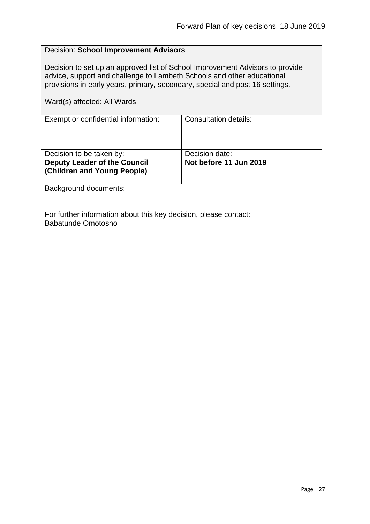<span id="page-26-0"></span>

| <b>Decision: School Improvement Advisors</b>                                                                                                                                                                                                                           |  |  |
|------------------------------------------------------------------------------------------------------------------------------------------------------------------------------------------------------------------------------------------------------------------------|--|--|
| Decision to set up an approved list of School Improvement Advisors to provide<br>advice, support and challenge to Lambeth Schools and other educational<br>provisions in early years, primary, secondary, special and post 16 settings.<br>Ward(s) affected: All Wards |  |  |
| <b>Consultation details:</b>                                                                                                                                                                                                                                           |  |  |
|                                                                                                                                                                                                                                                                        |  |  |
| Decision date:                                                                                                                                                                                                                                                         |  |  |
| Not before 11 Jun 2019                                                                                                                                                                                                                                                 |  |  |
| Background documents:                                                                                                                                                                                                                                                  |  |  |
| For further information about this key decision, please contact:<br>Babatunde Omotosho                                                                                                                                                                                 |  |  |
|                                                                                                                                                                                                                                                                        |  |  |
|                                                                                                                                                                                                                                                                        |  |  |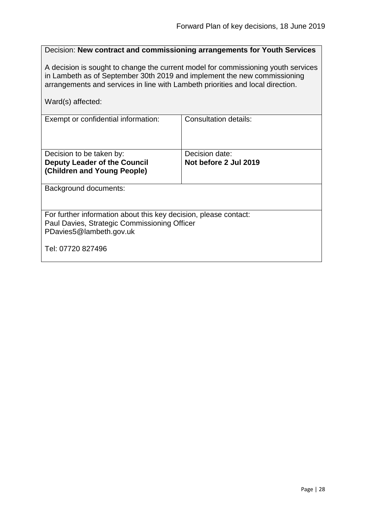#### <span id="page-27-0"></span>Decision: **New contract and commissioning arrangements for Youth Services**

A decision is sought to change the current model for commissioning youth services in Lambeth as of September 30th 2019 and implement the new commissioning arrangements and services in line with Lambeth priorities and local direction.

Ward(s) affected:

| Exempt or confidential information:                              | <b>Consultation details:</b> |
|------------------------------------------------------------------|------------------------------|
| Decision to be taken by:                                         | Decision date:               |
| <b>Deputy Leader of the Council</b>                              | Not before 2 Jul 2019        |
|                                                                  |                              |
| (Children and Young People)                                      |                              |
|                                                                  |                              |
| Background documents:                                            |                              |
|                                                                  |                              |
|                                                                  |                              |
| For further information about this key decision, please contact: |                              |
| Paul Davies, Strategic Commissioning Officer                     |                              |
| PDavies5@lambeth.gov.uk                                          |                              |
|                                                                  |                              |
| Tel: 07720 827496                                                |                              |
|                                                                  |                              |
|                                                                  |                              |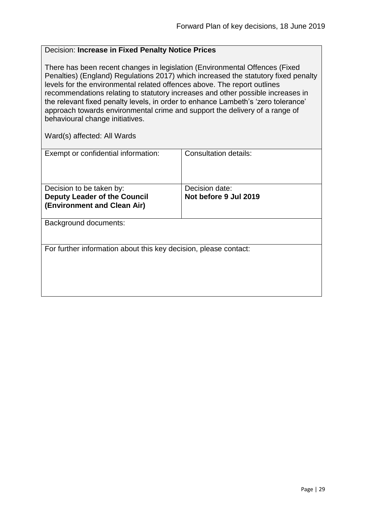#### <span id="page-28-0"></span>Decision: **Increase in Fixed Penalty Notice Prices**

There has been recent changes in legislation (Environmental Offences (Fixed Penalties) (England) Regulations 2017) which increased the statutory fixed penalty levels for the environmental related offences above. The report outlines recommendations relating to statutory increases and other possible increases in the relevant fixed penalty levels, in order to enhance Lambeth's 'zero tolerance' approach towards environmental crime and support the delivery of a range of behavioural change initiatives.

| Exempt or confidential information:                                | Consultation details: |
|--------------------------------------------------------------------|-----------------------|
|                                                                    |                       |
| Decision to be taken by:                                           | Decision date:        |
| <b>Deputy Leader of the Council</b><br>(Environment and Clean Air) | Not before 9 Jul 2019 |
| <b>Background documents:</b>                                       |                       |
| For further information about this key decision, please contact:   |                       |
|                                                                    |                       |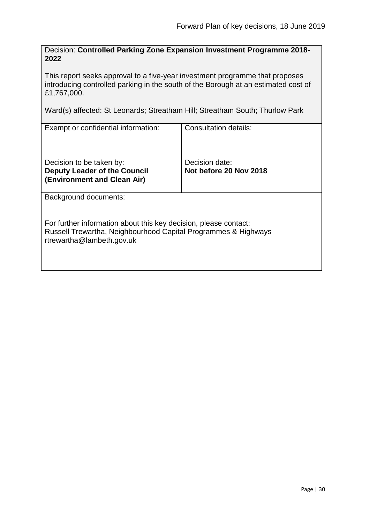<span id="page-29-0"></span>Decision: **Controlled Parking Zone Expansion Investment Programme 2018- 2022**

This report seeks approval to a five-year investment programme that proposes introducing controlled parking in the south of the Borough at an estimated cost of £1,767,000.

Ward(s) affected: St Leonards; Streatham Hill; Streatham South; Thurlow Park

| Exempt or confidential information:                                                                                                                             | <b>Consultation details:</b>             |
|-----------------------------------------------------------------------------------------------------------------------------------------------------------------|------------------------------------------|
| Decision to be taken by:<br><b>Deputy Leader of the Council</b><br>(Environment and Clean Air)                                                                  | Decision date:<br>Not before 20 Nov 2018 |
| <b>Background documents:</b>                                                                                                                                    |                                          |
| For further information about this key decision, please contact:<br>Russell Trewartha, Neighbourhood Capital Programmes & Highways<br>rtrewartha@lambeth.gov.uk |                                          |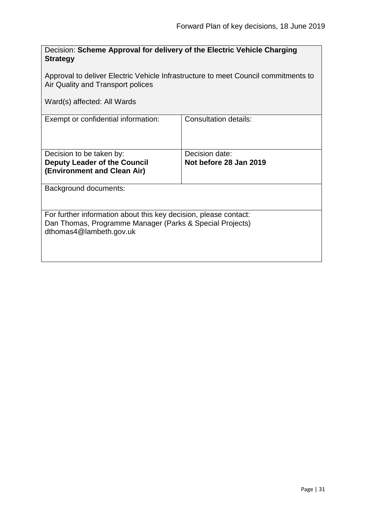<span id="page-30-0"></span>

| Decision: Scheme Approval for delivery of the Electric Vehicle Charging<br><b>Strategy</b>                                                              |                                          |  |
|---------------------------------------------------------------------------------------------------------------------------------------------------------|------------------------------------------|--|
| Approval to deliver Electric Vehicle Infrastructure to meet Council commitments to<br>Air Quality and Transport polices                                 |                                          |  |
| Ward(s) affected: All Wards                                                                                                                             |                                          |  |
| Exempt or confidential information:                                                                                                                     | Consultation details:                    |  |
| Decision to be taken by:<br><b>Deputy Leader of the Council</b><br>(Environment and Clean Air)                                                          | Decision date:<br>Not before 28 Jan 2019 |  |
| Background documents:                                                                                                                                   |                                          |  |
| For further information about this key decision, please contact:<br>Dan Thomas, Programme Manager (Parks & Special Projects)<br>dthomas4@lambeth.gov.uk |                                          |  |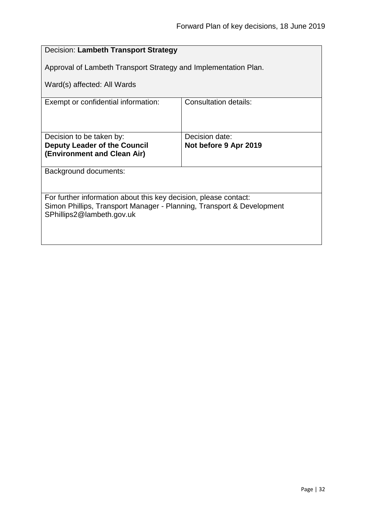<span id="page-31-0"></span>

| Decision: Lambeth Transport Strategy                                                                                                                                   |                       |  |
|------------------------------------------------------------------------------------------------------------------------------------------------------------------------|-----------------------|--|
| Approval of Lambeth Transport Strategy and Implementation Plan.                                                                                                        |                       |  |
| Ward(s) affected: All Wards                                                                                                                                            |                       |  |
| Exempt or confidential information:                                                                                                                                    | Consultation details: |  |
|                                                                                                                                                                        |                       |  |
| Decision to be taken by:<br><b>Deputy Leader of the Council</b>                                                                                                        | Decision date:        |  |
| (Environment and Clean Air)                                                                                                                                            | Not before 9 Apr 2019 |  |
| Background documents:                                                                                                                                                  |                       |  |
|                                                                                                                                                                        |                       |  |
| For further information about this key decision, please contact:<br>Simon Phillips, Transport Manager - Planning, Transport & Development<br>SPhillips2@lambeth.gov.uk |                       |  |
|                                                                                                                                                                        |                       |  |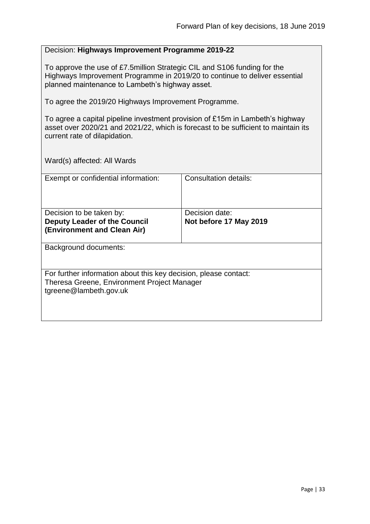#### <span id="page-32-0"></span>Decision: **Highways Improvement Programme 2019-22**

To approve the use of £7.5million Strategic CIL and S106 funding for the Highways Improvement Programme in 2019/20 to continue to deliver essential planned maintenance to Lambeth's highway asset.

To agree the 2019/20 Highways Improvement Programme.

To agree a capital pipeline investment provision of £15m in Lambeth's highway asset over 2020/21 and 2021/22, which is forecast to be sufficient to maintain its current rate of dilapidation.

| Exempt or confidential information:                              | Consultation details:  |
|------------------------------------------------------------------|------------------------|
| Decision to be taken by:                                         | Decision date:         |
| <b>Deputy Leader of the Council</b>                              | Not before 17 May 2019 |
|                                                                  |                        |
| (Environment and Clean Air)                                      |                        |
| Background documents:                                            |                        |
|                                                                  |                        |
| For further information about this key decision, please contact: |                        |
| Theresa Greene, Environment Project Manager                      |                        |
| tgreene@lambeth.gov.uk                                           |                        |
|                                                                  |                        |
|                                                                  |                        |
|                                                                  |                        |
|                                                                  |                        |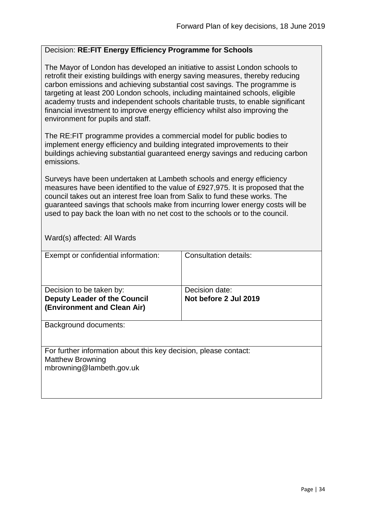#### <span id="page-33-0"></span>Decision: **RE:FIT Energy Efficiency Programme for Schools**

The Mayor of London has developed an initiative to assist London schools to retrofit their existing buildings with energy saving measures, thereby reducing carbon emissions and achieving substantial cost savings. The programme is targeting at least 200 London schools, including maintained schools, eligible academy trusts and independent schools charitable trusts, to enable significant financial investment to improve energy efficiency whilst also improving the environment for pupils and staff.

The RE:FIT programme provides a commercial model for public bodies to implement energy efficiency and building integrated improvements to their buildings achieving substantial guaranteed energy savings and reducing carbon emissions.

Surveys have been undertaken at Lambeth schools and energy efficiency measures have been identified to the value of £927,975. It is proposed that the council takes out an interest free loan from Salix to fund these works. The guaranteed savings that schools make from incurring lower energy costs will be used to pay back the loan with no net cost to the schools or to the council.

| Exempt or confidential information:                                                                                     | <b>Consultation details:</b>            |
|-------------------------------------------------------------------------------------------------------------------------|-----------------------------------------|
| Decision to be taken by:<br><b>Deputy Leader of the Council</b><br>(Environment and Clean Air)                          | Decision date:<br>Not before 2 Jul 2019 |
| Background documents:                                                                                                   |                                         |
| For further information about this key decision, please contact:<br><b>Matthew Browning</b><br>mbrowning@lambeth.gov.uk |                                         |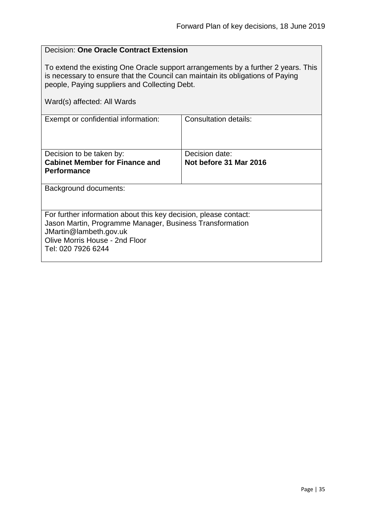### <span id="page-34-0"></span>Decision: **One Oracle Contract Extension** To extend the existing One Oracle support arrangements by a further 2 years. This is necessary to ensure that the Council can maintain its obligations of Paying people, Paying suppliers and Collecting Debt. Ward(s) affected: All Wards Exempt or confidential information: Consultation details: Decision to be taken by: **Cabinet Member for Finance and Performance** Decision date: **Not before 31 Mar 2016** Background documents: For further information about this key decision, please contact: Jason Martin, Programme Manager, Business Transformation JMartin@lambeth.gov.uk Olive Morris House - 2nd Floor Tel: 020 7926 6244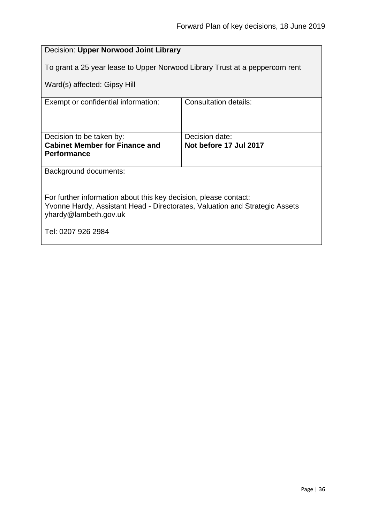<span id="page-35-0"></span>

| Decision: Upper Norwood Joint Library                                                                                                                                    |                                          |  |
|--------------------------------------------------------------------------------------------------------------------------------------------------------------------------|------------------------------------------|--|
| To grant a 25 year lease to Upper Norwood Library Trust at a peppercorn rent                                                                                             |                                          |  |
| Ward(s) affected: Gipsy Hill                                                                                                                                             |                                          |  |
| Exempt or confidential information:                                                                                                                                      | Consultation details:                    |  |
|                                                                                                                                                                          |                                          |  |
| Decision to be taken by:<br><b>Cabinet Member for Finance and</b>                                                                                                        | Decision date:<br>Not before 17 Jul 2017 |  |
| <b>Performance</b>                                                                                                                                                       |                                          |  |
| Background documents:                                                                                                                                                    |                                          |  |
|                                                                                                                                                                          |                                          |  |
| For further information about this key decision, please contact:<br>Yvonne Hardy, Assistant Head - Directorates, Valuation and Strategic Assets<br>yhardy@lambeth.gov.uk |                                          |  |
| Tel: 0207 926 2984                                                                                                                                                       |                                          |  |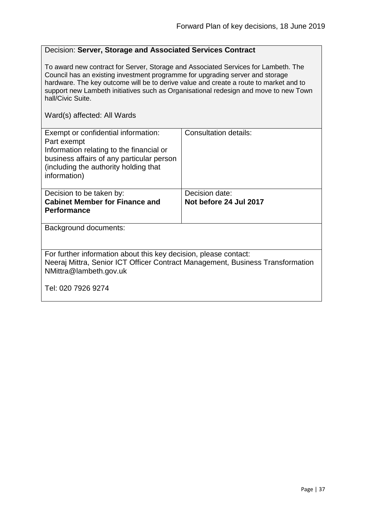# Decision: **Server, Storage and Associated Services Contract**

To award new contract for Server, Storage and Associated Services for Lambeth. The Council has an existing investment programme for upgrading server and storage hardware. The key outcome will be to derive value and create a route to market and to support new Lambeth initiatives such as Organisational redesign and move to new Town hall/Civic Suite.

| Exempt or confidential information:<br>Part exempt<br>Information relating to the financial or<br>business affairs of any particular person<br>(including the authority holding that<br>information) | Consultation details:  |
|------------------------------------------------------------------------------------------------------------------------------------------------------------------------------------------------------|------------------------|
| Decision to be taken by:                                                                                                                                                                             | Decision date:         |
| <b>Cabinet Member for Finance and</b>                                                                                                                                                                | Not before 24 Jul 2017 |
| <b>Performance</b>                                                                                                                                                                                   |                        |
|                                                                                                                                                                                                      |                        |
|                                                                                                                                                                                                      |                        |
| Background documents:                                                                                                                                                                                |                        |
|                                                                                                                                                                                                      |                        |
| For further information about this key decision, please contact:                                                                                                                                     |                        |
| Neeraj Mittra, Senior ICT Officer Contract Management, Business Transformation                                                                                                                       |                        |
| NMittra@lambeth.gov.uk                                                                                                                                                                               |                        |
|                                                                                                                                                                                                      |                        |
|                                                                                                                                                                                                      |                        |
| Tel: 020 7926 9274                                                                                                                                                                                   |                        |
|                                                                                                                                                                                                      |                        |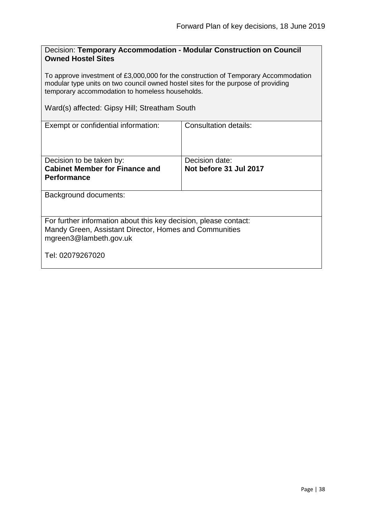| Decision: Temporary Accommodation - Modular Construction on Council |  |
|---------------------------------------------------------------------|--|
| <b>Owned Hostel Sites</b>                                           |  |

To approve investment of £3,000,000 for the construction of Temporary Accommodation modular type units on two council owned hostel sites for the purpose of providing temporary accommodation to homeless households.

Ward(s) affected: Gipsy Hill; Streatham South

| Exempt or confidential information:                              | Consultation details:  |
|------------------------------------------------------------------|------------------------|
| Decision to be taken by:                                         | Decision date:         |
| <b>Cabinet Member for Finance and</b>                            | Not before 31 Jul 2017 |
| <b>Performance</b>                                               |                        |
|                                                                  |                        |
|                                                                  |                        |
| Background documents:                                            |                        |
| For further information about this key decision, please contact: |                        |
| Mandy Green, Assistant Director, Homes and Communities           |                        |
| mgreen3@lambeth.gov.uk                                           |                        |
|                                                                  |                        |
| Tel: 02079267020                                                 |                        |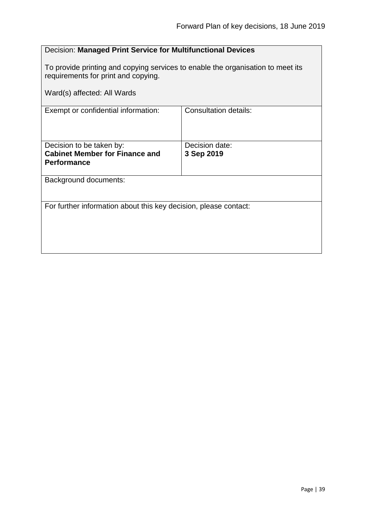# Decision: **Managed Print Service for Multifunctional Devices**

To provide printing and copying services to enable the organisation to meet its requirements for print and copying.

| Exempt or confidential information:                               | <b>Consultation details:</b> |
|-------------------------------------------------------------------|------------------------------|
|                                                                   |                              |
| Decision to be taken by:<br><b>Cabinet Member for Finance and</b> | Decision date:               |
| <b>Performance</b>                                                | 3 Sep 2019                   |
| Background documents:                                             |                              |
|                                                                   |                              |
| For further information about this key decision, please contact:  |                              |
|                                                                   |                              |
|                                                                   |                              |
|                                                                   |                              |
|                                                                   |                              |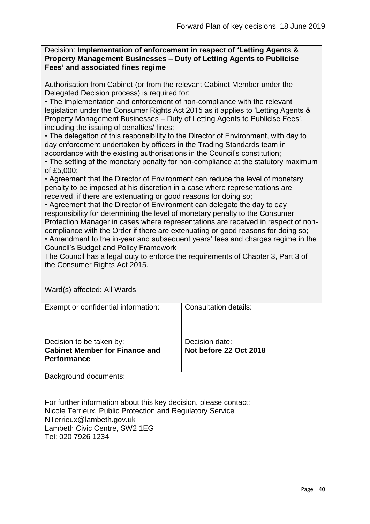#### Decision: **Implementation of enforcement in respect of 'Letting Agents & Property Management Businesses – Duty of Letting Agents to Publicise Fees' and associated fines regime**

Authorisation from Cabinet (or from the relevant Cabinet Member under the Delegated Decision process) is required for:

• The implementation and enforcement of non-compliance with the relevant legislation under the Consumer Rights Act 2015 as it applies to 'Letting Agents & Property Management Businesses – Duty of Letting Agents to Publicise Fees', including the issuing of penalties/ fines;

• The delegation of this responsibility to the Director of Environment, with day to day enforcement undertaken by officers in the Trading Standards team in accordance with the existing authorisations in the Council's constitution;

• The setting of the monetary penalty for non-compliance at the statutory maximum of £5,000;

• Agreement that the Director of Environment can reduce the level of monetary penalty to be imposed at his discretion in a case where representations are received, if there are extenuating or good reasons for doing so;

• Agreement that the Director of Environment can delegate the day to day responsibility for determining the level of monetary penalty to the Consumer Protection Manager in cases where representations are received in respect of noncompliance with the Order if there are extenuating or good reasons for doing so; • Amendment to the in-year and subsequent years' fees and charges regime in the Council's Budget and Policy Framework

The Council has a legal duty to enforce the requirements of Chapter 3, Part 3 of the Consumer Rights Act 2015.

| Exempt or confidential information:                                                                                                                                                                              | Consultation details:                    |
|------------------------------------------------------------------------------------------------------------------------------------------------------------------------------------------------------------------|------------------------------------------|
| Decision to be taken by:<br><b>Cabinet Member for Finance and</b><br><b>Performance</b>                                                                                                                          | Decision date:<br>Not before 22 Oct 2018 |
| Background documents:                                                                                                                                                                                            |                                          |
| For further information about this key decision, please contact:<br>Nicole Terrieux, Public Protection and Regulatory Service<br>NTerrieux@lambeth.gov.uk<br>Lambeth Civic Centre, SW2 1EG<br>Tel: 020 7926 1234 |                                          |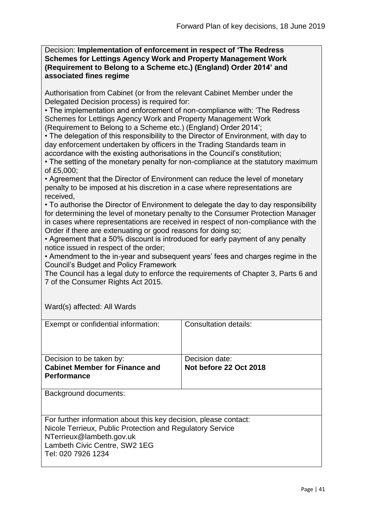Decision: **Implementation of enforcement in respect of 'The Redress Schemes for Lettings Agency Work and Property Management Work (Requirement to Belong to a Scheme etc.) (England) Order 2014' and associated fines regime**

Authorisation from Cabinet (or from the relevant Cabinet Member under the Delegated Decision process) is required for:

• The implementation and enforcement of non-compliance with: 'The Redress Schemes for Lettings Agency Work and Property Management Work

(Requirement to Belong to a Scheme etc.) (England) Order 2014';

• The delegation of this responsibility to the Director of Environment, with day to day enforcement undertaken by officers in the Trading Standards team in accordance with the existing authorisations in the Council's constitution;

• The setting of the monetary penalty for non-compliance at the statutory maximum of £5,000;

• Agreement that the Director of Environment can reduce the level of monetary penalty to be imposed at his discretion in a case where representations are received,

• To authorise the Director of Environment to delegate the day to day responsibility for determining the level of monetary penalty to the Consumer Protection Manager in cases where representations are received in respect of non-compliance with the Order if there are extenuating or good reasons for doing so;

• Agreement that a 50% discount is introduced for early payment of any penalty notice issued in respect of the order;

• Amendment to the in-year and subsequent years' fees and charges regime in the Council's Budget and Policy Framework

The Council has a legal duty to enforce the requirements of Chapter 3, Parts 6 and 7 of the Consumer Rights Act 2015.

| Exempt or confidential information:                                                                                                                                                                              | Consultation details:  |
|------------------------------------------------------------------------------------------------------------------------------------------------------------------------------------------------------------------|------------------------|
| Decision to be taken by:                                                                                                                                                                                         | Decision date:         |
| <b>Cabinet Member for Finance and</b>                                                                                                                                                                            | Not before 22 Oct 2018 |
|                                                                                                                                                                                                                  |                        |
| <b>Performance</b>                                                                                                                                                                                               |                        |
|                                                                                                                                                                                                                  |                        |
| Background documents:                                                                                                                                                                                            |                        |
| For further information about this key decision, please contact:<br>Nicole Terrieux, Public Protection and Regulatory Service<br>NTerrieux@lambeth.gov.uk<br>Lambeth Civic Centre, SW2 1EG<br>Tel: 020 7926 1234 |                        |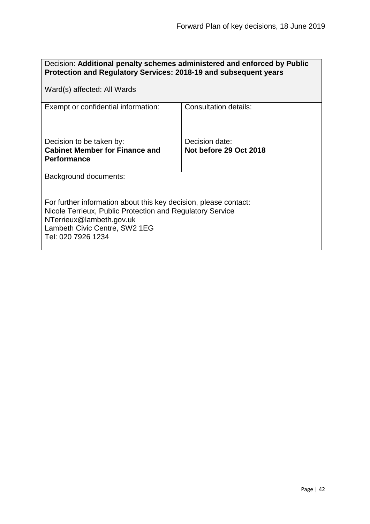| Decision: Additional penalty schemes administered and enforced by Public<br>Protection and Regulatory Services: 2018-19 and subsequent years                                                                     |                                          |
|------------------------------------------------------------------------------------------------------------------------------------------------------------------------------------------------------------------|------------------------------------------|
| Ward(s) affected: All Wards                                                                                                                                                                                      |                                          |
| Exempt or confidential information:                                                                                                                                                                              | Consultation details:                    |
| Decision to be taken by:<br><b>Cabinet Member for Finance and</b><br><b>Performance</b>                                                                                                                          | Decision date:<br>Not before 29 Oct 2018 |
| <b>Background documents:</b>                                                                                                                                                                                     |                                          |
| For further information about this key decision, please contact:<br>Nicole Terrieux, Public Protection and Regulatory Service<br>NTerrieux@lambeth.gov.uk<br>Lambeth Civic Centre, SW2 1EG<br>Tel: 020 7926 1234 |                                          |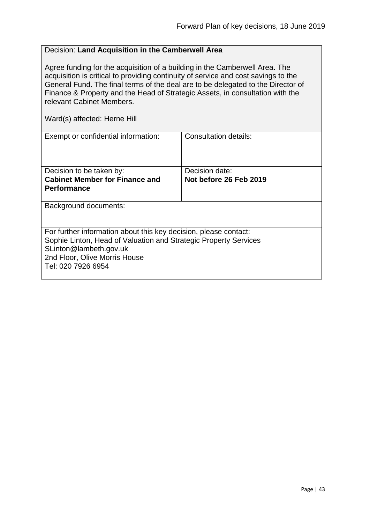# Decision: **Land Acquisition in the Camberwell Area**

Agree funding for the acquisition of a building in the Camberwell Area. The acquisition is critical to providing continuity of service and cost savings to the General Fund. The final terms of the deal are to be delegated to the Director of Finance & Property and the Head of Strategic Assets, in consultation with the relevant Cabinet Members.

Ward(s) affected: Herne Hill

| Exempt or confidential information:                                                                                                                                                             | Consultation details:  |
|-------------------------------------------------------------------------------------------------------------------------------------------------------------------------------------------------|------------------------|
| Decision to be taken by:                                                                                                                                                                        | Decision date:         |
| <b>Cabinet Member for Finance and</b>                                                                                                                                                           | Not before 26 Feb 2019 |
|                                                                                                                                                                                                 |                        |
| <b>Performance</b>                                                                                                                                                                              |                        |
|                                                                                                                                                                                                 |                        |
| Background documents:                                                                                                                                                                           |                        |
| For further information about this key decision, please contact:<br>Sophie Linton, Head of Valuation and Strategic Property Services<br>SLinton@lambeth.gov.uk<br>2nd Floor, Olive Morris House |                        |
| Tel: 020 7926 6954                                                                                                                                                                              |                        |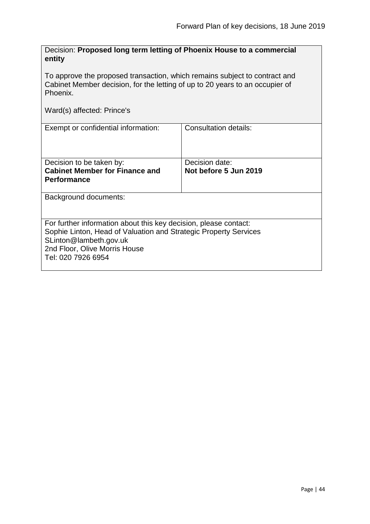| Decision: Proposed long term letting of Phoenix House to a commercial<br>entity                                                                                                                                       |                                         |  |
|-----------------------------------------------------------------------------------------------------------------------------------------------------------------------------------------------------------------------|-----------------------------------------|--|
| To approve the proposed transaction, which remains subject to contract and<br>Cabinet Member decision, for the letting of up to 20 years to an occupier of<br>Phoenix.                                                |                                         |  |
| Ward(s) affected: Prince's                                                                                                                                                                                            |                                         |  |
| Exempt or confidential information:                                                                                                                                                                                   | <b>Consultation details:</b>            |  |
| Decision to be taken by:<br><b>Cabinet Member for Finance and</b><br><b>Performance</b>                                                                                                                               | Decision date:<br>Not before 5 Jun 2019 |  |
| Background documents:                                                                                                                                                                                                 |                                         |  |
| For further information about this key decision, please contact:<br>Sophie Linton, Head of Valuation and Strategic Property Services<br>SLinton@lambeth.gov.uk<br>2nd Floor, Olive Morris House<br>Tel: 020 7926 6954 |                                         |  |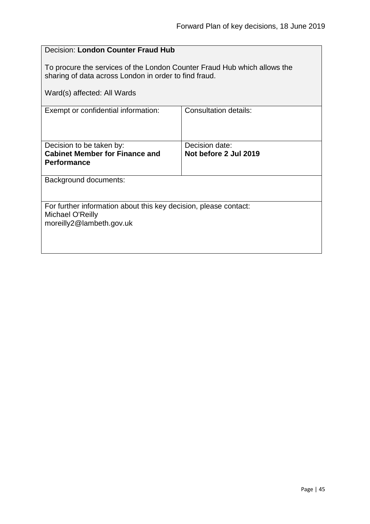| Decision: London Counter Fraud Hub                                                                                                |                                         |  |
|-----------------------------------------------------------------------------------------------------------------------------------|-----------------------------------------|--|
| To procure the services of the London Counter Fraud Hub which allows the<br>sharing of data across London in order to find fraud. |                                         |  |
| Ward(s) affected: All Wards                                                                                                       |                                         |  |
| Exempt or confidential information:                                                                                               | Consultation details:                   |  |
| Decision to be taken by:<br><b>Cabinet Member for Finance and</b><br><b>Performance</b>                                           | Decision date:<br>Not before 2 Jul 2019 |  |
| Background documents:                                                                                                             |                                         |  |
| For further information about this key decision, please contact:<br>Michael O'Reilly<br>moreilly2@lambeth.gov.uk                  |                                         |  |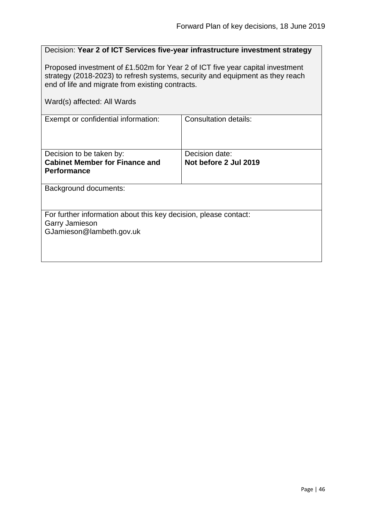|                                                                                                                                                                                                                    | Decision: Year 2 of ICT Services five-year infrastructure investment strategy |  |
|--------------------------------------------------------------------------------------------------------------------------------------------------------------------------------------------------------------------|-------------------------------------------------------------------------------|--|
| Proposed investment of £1.502m for Year 2 of ICT five year capital investment<br>strategy (2018-2023) to refresh systems, security and equipment as they reach<br>end of life and migrate from existing contracts. |                                                                               |  |
| Ward(s) affected: All Wards                                                                                                                                                                                        |                                                                               |  |
| Exempt or confidential information:                                                                                                                                                                                | <b>Consultation details:</b>                                                  |  |
| Decision to be taken by:<br><b>Cabinet Member for Finance and</b>                                                                                                                                                  | Decision date:<br>Not before 2 Jul 2019                                       |  |
| <b>Performance</b>                                                                                                                                                                                                 |                                                                               |  |
| Background documents:                                                                                                                                                                                              |                                                                               |  |
| For further information about this key decision, please contact:<br><b>Garry Jamieson</b><br>GJamieson@lambeth.gov.uk                                                                                              |                                                                               |  |
|                                                                                                                                                                                                                    |                                                                               |  |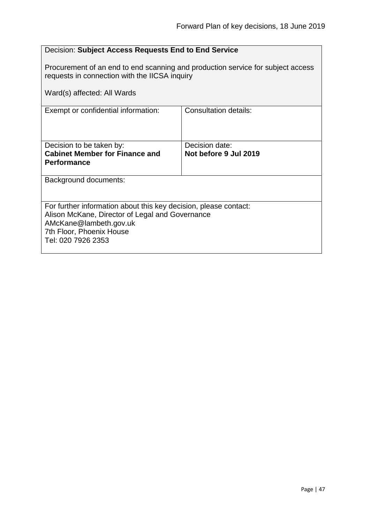# Decision: **Subject Access Requests End to End Service**

Procurement of an end to end scanning and production service for subject access requests in connection with the IICSA inquiry

| Ward(s) affected: All Wards                                                                                                                                                                     |                                         |
|-------------------------------------------------------------------------------------------------------------------------------------------------------------------------------------------------|-----------------------------------------|
| Exempt or confidential information:                                                                                                                                                             | Consultation details:                   |
| Decision to be taken by:<br><b>Cabinet Member for Finance and</b><br><b>Performance</b>                                                                                                         | Decision date:<br>Not before 9 Jul 2019 |
| Background documents:                                                                                                                                                                           |                                         |
| For further information about this key decision, please contact:<br>Alison McKane, Director of Legal and Governance<br>AMcKane@lambeth.gov.uk<br>7th Floor, Phoenix House<br>Tel: 020 7926 2353 |                                         |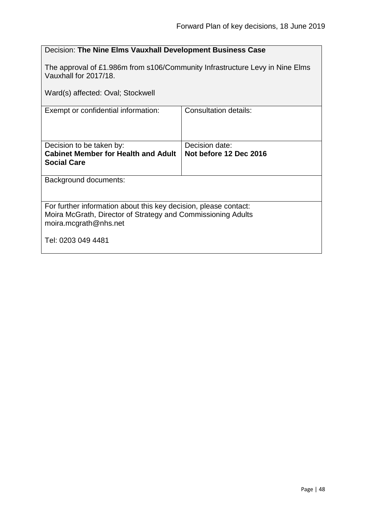# Decision: **The Nine Elms Vauxhall Development Business Case**

The approval of £1.986m from s106/Community Infrastructure Levy in Nine Elms Vauxhall for 2017/18.

Ward(s) affected: Oval; Stockwell

| Exempt or confidential information:                                                                                                                       | <b>Consultation details:</b> |  |
|-----------------------------------------------------------------------------------------------------------------------------------------------------------|------------------------------|--|
| Decision to be taken by:                                                                                                                                  | Decision date:               |  |
| <b>Cabinet Member for Health and Adult</b><br><b>Social Care</b>                                                                                          | Not before 12 Dec 2016       |  |
| Background documents:                                                                                                                                     |                              |  |
| For further information about this key decision, please contact:<br>Moira McGrath, Director of Strategy and Commissioning Adults<br>moira.mcgrath@nhs.net |                              |  |
| Tel: 0203 049 4481                                                                                                                                        |                              |  |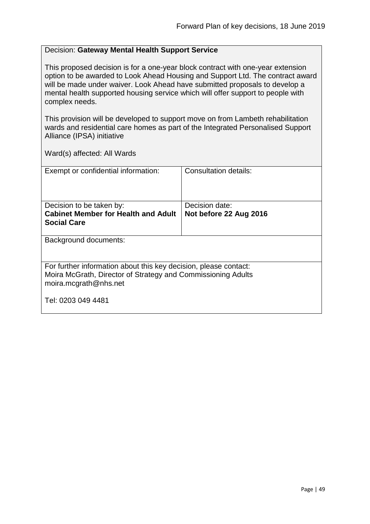#### Decision: **Gateway Mental Health Support Service**

This proposed decision is for a one-year block contract with one-year extension option to be awarded to Look Ahead Housing and Support Ltd. The contract award will be made under waiver. Look Ahead have submitted proposals to develop a mental health supported housing service which will offer support to people with complex needs.

This provision will be developed to support move on from Lambeth rehabilitation wards and residential care homes as part of the Integrated Personalised Support Alliance (IPSA) initiative

| Exempt or confidential information:                                                                                                                       | Consultation details:                    |
|-----------------------------------------------------------------------------------------------------------------------------------------------------------|------------------------------------------|
| Decision to be taken by:<br><b>Cabinet Member for Health and Adult</b><br><b>Social Care</b>                                                              | Decision date:<br>Not before 22 Aug 2016 |
| Background documents:                                                                                                                                     |                                          |
| For further information about this key decision, please contact:<br>Moira McGrath, Director of Strategy and Commissioning Adults<br>moira.mcgrath@nhs.net |                                          |
| Tel: 0203 049 4481                                                                                                                                        |                                          |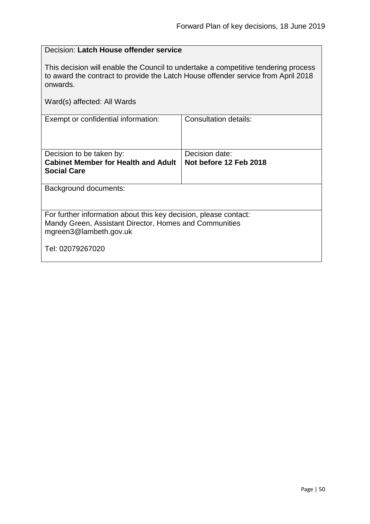# Decision: **Latch House offender service**

This decision will enable the Council to undertake a competitive tendering process to award the contract to provide the Latch House offender service from April 2018 onwards.

| Exempt or confidential information:                                                                                                                  | Consultation details:  |  |
|------------------------------------------------------------------------------------------------------------------------------------------------------|------------------------|--|
|                                                                                                                                                      |                        |  |
| Decision to be taken by:                                                                                                                             | Decision date:         |  |
| <b>Cabinet Member for Health and Adult</b><br><b>Social Care</b>                                                                                     | Not before 12 Feb 2018 |  |
|                                                                                                                                                      |                        |  |
| <b>Background documents:</b>                                                                                                                         |                        |  |
| For further information about this key decision, please contact:<br>Mandy Green, Assistant Director, Homes and Communities<br>mgreen3@lambeth.gov.uk |                        |  |
| Tel: 02079267020                                                                                                                                     |                        |  |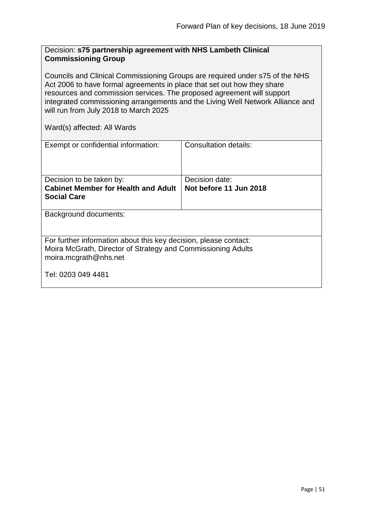#### Decision: **s75 partnership agreement with NHS Lambeth Clinical Commissioning Group**

Councils and Clinical Commissioning Groups are required under s75 of the NHS Act 2006 to have formal agreements in place that set out how they share resources and commission services. The proposed agreement will support integrated commissioning arrangements and the Living Well Network Alliance and will run from July 2018 to March 2025

| Exempt or confidential information:                                                                                                                       | Consultation details:                    |  |
|-----------------------------------------------------------------------------------------------------------------------------------------------------------|------------------------------------------|--|
| Decision to be taken by:<br><b>Cabinet Member for Health and Adult</b><br><b>Social Care</b>                                                              | Decision date:<br>Not before 11 Jun 2018 |  |
| Background documents:                                                                                                                                     |                                          |  |
| For further information about this key decision, please contact:<br>Moira McGrath, Director of Strategy and Commissioning Adults<br>moira.mcgrath@nhs.net |                                          |  |
| Tel: 0203 049 4481                                                                                                                                        |                                          |  |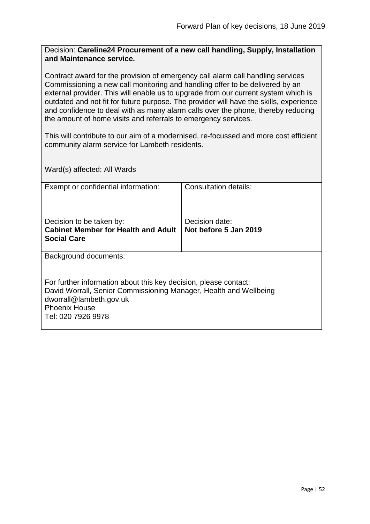Decision: **Careline24 Procurement of a new call handling, Supply, Installation and Maintenance service.**

Contract award for the provision of emergency call alarm call handling services Commissioning a new call monitoring and handling offer to be delivered by an external provider. This will enable us to upgrade from our current system which is outdated and not fit for future purpose. The provider will have the skills, experience and confidence to deal with as many alarm calls over the phone, thereby reducing the amount of home visits and referrals to emergency services.

This will contribute to our aim of a modernised, re-focussed and more cost efficient community alarm service for Lambeth residents.

| Exempt or confidential information:                                                                                                                                                                            | Consultation details: |
|----------------------------------------------------------------------------------------------------------------------------------------------------------------------------------------------------------------|-----------------------|
| Decision to be taken by:                                                                                                                                                                                       | Decision date:        |
| <b>Cabinet Member for Health and Adult</b>                                                                                                                                                                     | Not before 5 Jan 2019 |
| <b>Social Care</b>                                                                                                                                                                                             |                       |
|                                                                                                                                                                                                                |                       |
| Background documents:                                                                                                                                                                                          |                       |
| For further information about this key decision, please contact:<br>David Worrall, Senior Commissioning Manager, Health and Wellbeing<br>dworrall@lambeth.gov.uk<br><b>Phoenix House</b><br>Tel: 020 7926 9978 |                       |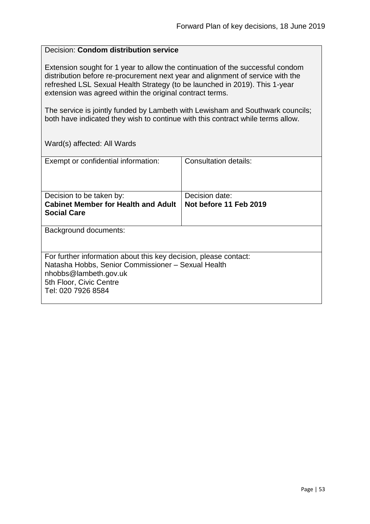#### Decision: **Condom distribution service**

Extension sought for 1 year to allow the continuation of the successful condom distribution before re-procurement next year and alignment of service with the refreshed LSL Sexual Health Strategy (to be launched in 2019). This 1-year extension was agreed within the original contract terms.

The service is jointly funded by Lambeth with Lewisham and Southwark councils; both have indicated they wish to continue with this contract while terms allow.

| Exempt or confidential information:                                                                                    | Consultation details:  |
|------------------------------------------------------------------------------------------------------------------------|------------------------|
| Decision to be taken by:                                                                                               | Decision date:         |
| <b>Cabinet Member for Health and Adult</b>                                                                             | Not before 11 Feb 2019 |
|                                                                                                                        |                        |
| <b>Social Care</b>                                                                                                     |                        |
|                                                                                                                        |                        |
| Background documents:                                                                                                  |                        |
| For further information about this key decision, please contact:<br>Natasha Hobbs, Senior Commissioner - Sexual Health |                        |
| nhobbs@lambeth.gov.uk                                                                                                  |                        |
| 5th Floor, Civic Centre                                                                                                |                        |
| Tel: 020 7926 8584                                                                                                     |                        |
|                                                                                                                        |                        |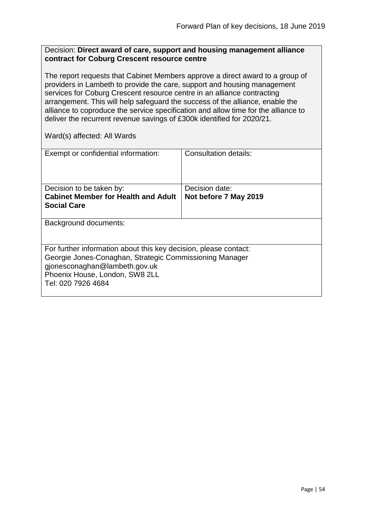#### Decision: **Direct award of care, support and housing management alliance contract for Coburg Crescent resource centre**

The report requests that Cabinet Members approve a direct award to a group of providers in Lambeth to provide the care, support and housing management services for Coburg Crescent resource centre in an alliance contracting arrangement. This will help safeguard the success of the alliance, enable the alliance to coproduce the service specification and allow time for the alliance to deliver the recurrent revenue savings of £300k identified for 2020/21.

| Exempt or confidential information:                                                                                                                                                                                  | Consultation details: |
|----------------------------------------------------------------------------------------------------------------------------------------------------------------------------------------------------------------------|-----------------------|
| Decision to be taken by:                                                                                                                                                                                             | Decision date:        |
| <b>Cabinet Member for Health and Adult</b>                                                                                                                                                                           | Not before 7 May 2019 |
|                                                                                                                                                                                                                      |                       |
| <b>Social Care</b>                                                                                                                                                                                                   |                       |
|                                                                                                                                                                                                                      |                       |
| Background documents:                                                                                                                                                                                                |                       |
| For further information about this key decision, please contact:<br>Georgie Jones-Conaghan, Strategic Commissioning Manager<br>gjonesconaghan@lambeth.gov.uk<br>Phoenix House, London, SW8 2LL<br>Tel: 020 7926 4684 |                       |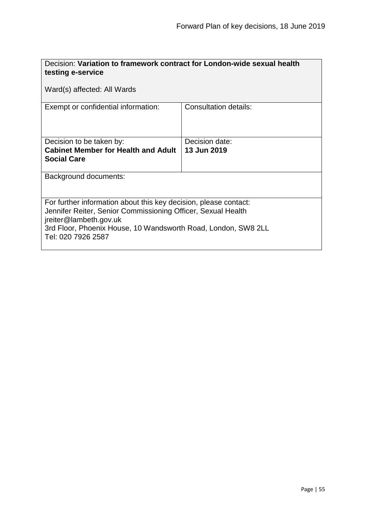| Decision: Variation to framework contract for London-wide sexual health<br>testing e-service                                                                                                                                                      |                               |  |
|---------------------------------------------------------------------------------------------------------------------------------------------------------------------------------------------------------------------------------------------------|-------------------------------|--|
| Ward(s) affected: All Wards                                                                                                                                                                                                                       |                               |  |
| Exempt or confidential information:                                                                                                                                                                                                               | Consultation details:         |  |
| Decision to be taken by:<br><b>Cabinet Member for Health and Adult</b><br><b>Social Care</b>                                                                                                                                                      | Decision date:<br>13 Jun 2019 |  |
| <b>Background documents:</b>                                                                                                                                                                                                                      |                               |  |
| For further information about this key decision, please contact:<br>Jennifer Reiter, Senior Commissioning Officer, Sexual Health<br>jreiter@lambeth.gov.uk<br>3rd Floor, Phoenix House, 10 Wandsworth Road, London, SW8 2LL<br>Tel: 020 7926 2587 |                               |  |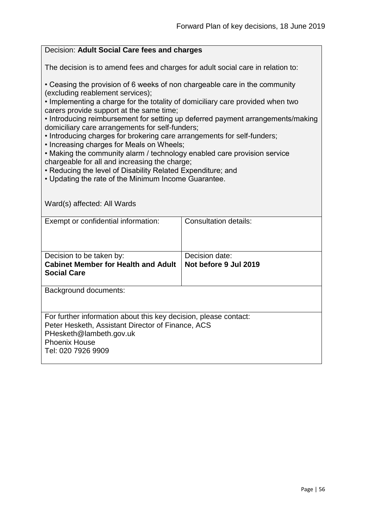| Decision: Adult Social Care fees and charges                                                                                       |                              |  |
|------------------------------------------------------------------------------------------------------------------------------------|------------------------------|--|
| The decision is to amend fees and charges for adult social care in relation to:                                                    |                              |  |
| • Ceasing the provision of 6 weeks of non chargeable care in the community<br>(excluding reablement services);                     |                              |  |
| . Implementing a charge for the totality of domiciliary care provided when two<br>carers provide support at the same time;         |                              |  |
| • Introducing reimbursement for setting up deferred payment arrangements/making<br>domiciliary care arrangements for self-funders; |                              |  |
| . Introducing charges for brokering care arrangements for self-funders;<br>• Increasing charges for Meals on Wheels;               |                              |  |
| . Making the community alarm / technology enabled care provision service                                                           |                              |  |
| chargeable for all and increasing the charge;<br>• Reducing the level of Disability Related Expenditure; and                       |                              |  |
| • Updating the rate of the Minimum Income Guarantee.                                                                               |                              |  |
|                                                                                                                                    |                              |  |
| Ward(s) affected: All Wards                                                                                                        |                              |  |
| Exempt or confidential information:                                                                                                | <b>Consultation details:</b> |  |
|                                                                                                                                    |                              |  |
|                                                                                                                                    |                              |  |
| Decision to be taken by:                                                                                                           | Decision date:               |  |
| <b>Cabinet Member for Health and Adult</b><br><b>Social Care</b>                                                                   | Not before 9 Jul 2019        |  |
|                                                                                                                                    |                              |  |
| Background documents:                                                                                                              |                              |  |
|                                                                                                                                    |                              |  |
| For further information about this key decision, please contact:                                                                   |                              |  |
| Peter Hesketh, Assistant Director of Finance, ACS<br>PHesketh@lambeth.gov.uk                                                       |                              |  |
| <b>Phoenix House</b>                                                                                                               |                              |  |
| Tel: 020 7926 9909                                                                                                                 |                              |  |
|                                                                                                                                    |                              |  |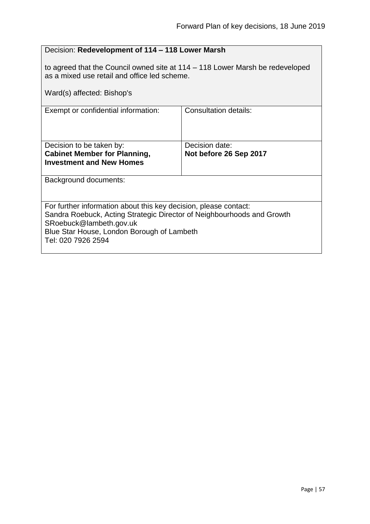| Decision: Redevelopment of 114 - 118 Lower Marsh                                                                                                                                                                                          |                                          |  |
|-------------------------------------------------------------------------------------------------------------------------------------------------------------------------------------------------------------------------------------------|------------------------------------------|--|
| to agreed that the Council owned site at 114 – 118 Lower Marsh be redeveloped<br>as a mixed use retail and office led scheme.                                                                                                             |                                          |  |
| Ward(s) affected: Bishop's                                                                                                                                                                                                                |                                          |  |
| Exempt or confidential information:                                                                                                                                                                                                       | Consultation details:                    |  |
| Decision to be taken by:<br><b>Cabinet Member for Planning,</b><br><b>Investment and New Homes</b>                                                                                                                                        | Decision date:<br>Not before 26 Sep 2017 |  |
| <b>Background documents:</b>                                                                                                                                                                                                              |                                          |  |
| For further information about this key decision, please contact:<br>Sandra Roebuck, Acting Strategic Director of Neighbourhoods and Growth<br>SRoebuck@lambeth.gov.uk<br>Blue Star House, London Borough of Lambeth<br>Tel: 020 7926 2594 |                                          |  |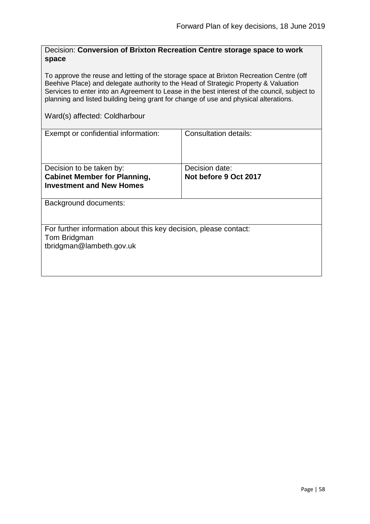| Decision: Conversion of Brixton Recreation Centre storage space to work |  |
|-------------------------------------------------------------------------|--|
| space                                                                   |  |

To approve the reuse and letting of the storage space at Brixton Recreation Centre (off Beehive Place) and delegate authority to the Head of Strategic Property & Valuation Services to enter into an Agreement to Lease in the best interest of the council, subject to planning and listed building being grant for change of use and physical alterations.

Ward(s) affected: Coldharbour

| Exempt or confidential information:                                                                          | Consultation details:                   |  |
|--------------------------------------------------------------------------------------------------------------|-----------------------------------------|--|
|                                                                                                              |                                         |  |
| Decision to be taken by:<br><b>Cabinet Member for Planning,</b><br><b>Investment and New Homes</b>           | Decision date:<br>Not before 9 Oct 2017 |  |
| Background documents:                                                                                        |                                         |  |
| For further information about this key decision, please contact:<br>Tom Bridgman<br>tbridgman@lambeth.gov.uk |                                         |  |
|                                                                                                              |                                         |  |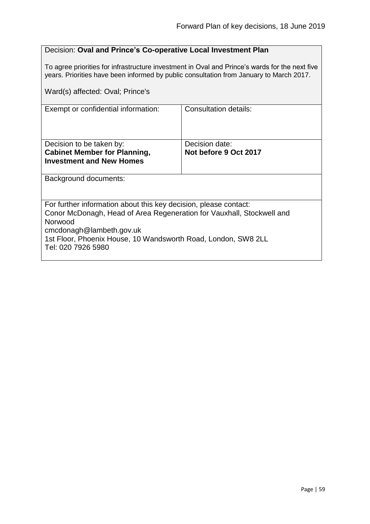### Decision: **Oval and Prince's Co-operative Local Investment Plan**

To agree priorities for infrastructure investment in Oval and Prince's wards for the next five years. Priorities have been informed by public consultation from January to March 2017.

| Ward(s) affected: Oval; Prince's                                                                                                                                                                                                                                        |                       |
|-------------------------------------------------------------------------------------------------------------------------------------------------------------------------------------------------------------------------------------------------------------------------|-----------------------|
| Exempt or confidential information:                                                                                                                                                                                                                                     | Consultation details: |
| Decision to be taken by:                                                                                                                                                                                                                                                | Decision date:        |
| <b>Cabinet Member for Planning,</b>                                                                                                                                                                                                                                     | Not before 9 Oct 2017 |
| <b>Investment and New Homes</b>                                                                                                                                                                                                                                         |                       |
| Background documents:                                                                                                                                                                                                                                                   |                       |
| For further information about this key decision, please contact:<br>Conor McDonagh, Head of Area Regeneration for Vauxhall, Stockwell and<br>Norwood<br>cmcdonagh@lambeth.gov.uk<br>1st Floor, Phoenix House, 10 Wandsworth Road, London, SW8 2LL<br>Tel: 020 7926 5980 |                       |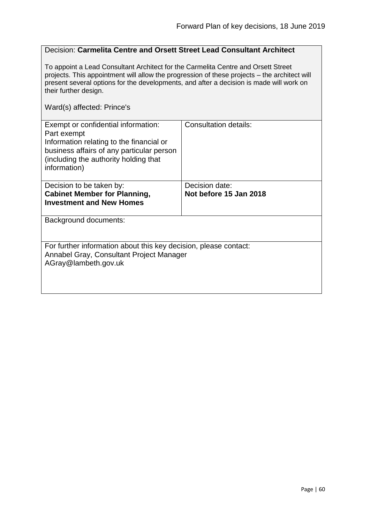#### Decision: **Carmelita Centre and Orsett Street Lead Consultant Architect**

To appoint a Lead Consultant Architect for the Carmelita Centre and Orsett Street projects. This appointment will allow the progression of these projects – the architect will present several options for the developments, and after a decision is made will work on their further design.

Ward(s) affected: Prince's

| Exempt or confidential information:<br>Part exempt<br>Information relating to the financial or<br>business affairs of any particular person<br>(including the authority holding that<br>information) | Consultation details:  |
|------------------------------------------------------------------------------------------------------------------------------------------------------------------------------------------------------|------------------------|
| Decision to be taken by:                                                                                                                                                                             | Decision date:         |
| <b>Cabinet Member for Planning,</b>                                                                                                                                                                  | Not before 15 Jan 2018 |
| <b>Investment and New Homes</b>                                                                                                                                                                      |                        |
|                                                                                                                                                                                                      |                        |
| Background documents:                                                                                                                                                                                |                        |
|                                                                                                                                                                                                      |                        |
|                                                                                                                                                                                                      |                        |
| For further information about this key decision, please contact:                                                                                                                                     |                        |
| Annabel Gray, Consultant Project Manager                                                                                                                                                             |                        |
| AGray@lambeth.gov.uk                                                                                                                                                                                 |                        |
|                                                                                                                                                                                                      |                        |
|                                                                                                                                                                                                      |                        |
|                                                                                                                                                                                                      |                        |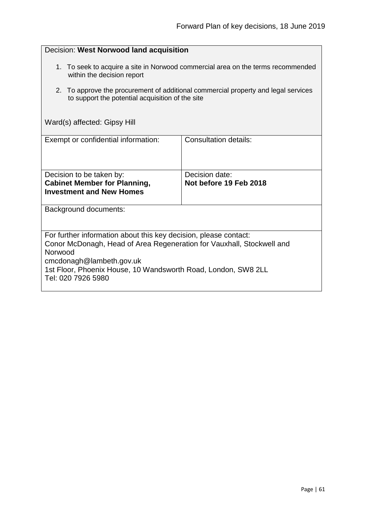| Decision: West Norwood land acquisition                                                                                                                                                                                                                                 |                                          |  |
|-------------------------------------------------------------------------------------------------------------------------------------------------------------------------------------------------------------------------------------------------------------------------|------------------------------------------|--|
| 1. To seek to acquire a site in Norwood commercial area on the terms recommended<br>within the decision report                                                                                                                                                          |                                          |  |
| 2. To approve the procurement of additional commercial property and legal services<br>to support the potential acquisition of the site                                                                                                                                  |                                          |  |
| Ward(s) affected: Gipsy Hill                                                                                                                                                                                                                                            |                                          |  |
| Exempt or confidential information:                                                                                                                                                                                                                                     | <b>Consultation details:</b>             |  |
| Decision to be taken by:<br><b>Cabinet Member for Planning,</b><br><b>Investment and New Homes</b>                                                                                                                                                                      | Decision date:<br>Not before 19 Feb 2018 |  |
| Background documents:                                                                                                                                                                                                                                                   |                                          |  |
| For further information about this key decision, please contact:<br>Conor McDonagh, Head of Area Regeneration for Vauxhall, Stockwell and<br>Norwood<br>cmcdonagh@lambeth.gov.uk<br>1st Floor, Phoenix House, 10 Wandsworth Road, London, SW8 2LL<br>Tel: 020 7926 5980 |                                          |  |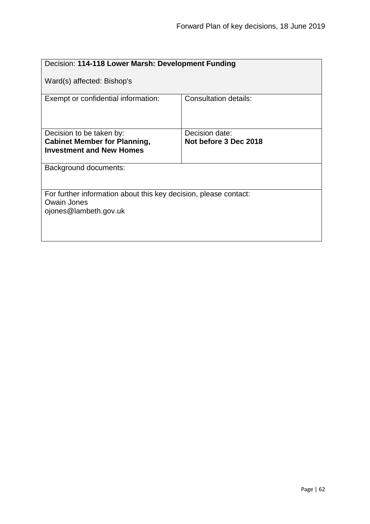| Decision: 114-118 Lower Marsh: Development Funding                                                       |                       |  |
|----------------------------------------------------------------------------------------------------------|-----------------------|--|
| Ward(s) affected: Bishop's                                                                               |                       |  |
| Exempt or confidential information:                                                                      | Consultation details: |  |
| Decision to be taken by:                                                                                 | Decision date:        |  |
| <b>Cabinet Member for Planning,</b><br><b>Investment and New Homes</b>                                   | Not before 3 Dec 2018 |  |
| Background documents:                                                                                    |                       |  |
| For further information about this key decision, please contact:<br>Owain Jones<br>ojones@lambeth.gov.uk |                       |  |
|                                                                                                          |                       |  |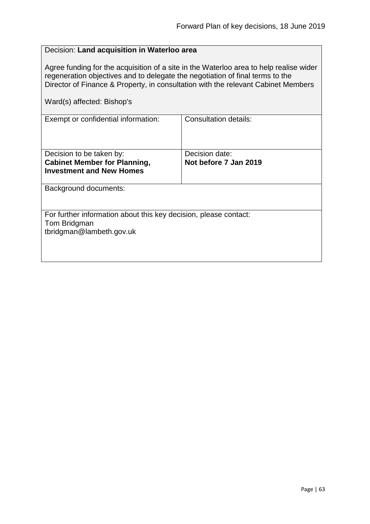|                                                                                                                                                                                                                                                                                            | Decision: Land acquisition in Waterloo area |  |
|--------------------------------------------------------------------------------------------------------------------------------------------------------------------------------------------------------------------------------------------------------------------------------------------|---------------------------------------------|--|
| Agree funding for the acquisition of a site in the Waterloo area to help realise wider<br>regeneration objectives and to delegate the negotiation of final terms to the<br>Director of Finance & Property, in consultation with the relevant Cabinet Members<br>Ward(s) affected: Bishop's |                                             |  |
| Exempt or confidential information:                                                                                                                                                                                                                                                        | <b>Consultation details:</b>                |  |
|                                                                                                                                                                                                                                                                                            |                                             |  |
| Decision to be taken by:<br><b>Cabinet Member for Planning,</b>                                                                                                                                                                                                                            | Decision date:<br>Not before 7 Jan 2019     |  |
| <b>Investment and New Homes</b>                                                                                                                                                                                                                                                            |                                             |  |
| Background documents:                                                                                                                                                                                                                                                                      |                                             |  |
| For further information about this key decision, please contact:<br>Tom Bridgman                                                                                                                                                                                                           |                                             |  |
| tbridgman@lambeth.gov.uk                                                                                                                                                                                                                                                                   |                                             |  |
|                                                                                                                                                                                                                                                                                            |                                             |  |
|                                                                                                                                                                                                                                                                                            |                                             |  |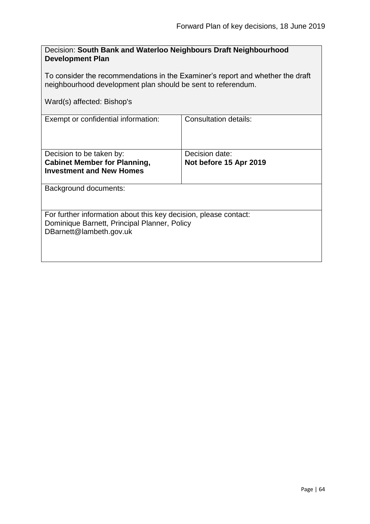| Decision: South Bank and Waterloo Neighbours Draft Neighbourhood |  |
|------------------------------------------------------------------|--|
| <b>Development Plan</b>                                          |  |

To consider the recommendations in the Examiner's report and whether the draft neighbourhood development plan should be sent to referendum.

Ward(s) affected: Bishop's

| Exempt or confidential information:                              | Consultation details:  |
|------------------------------------------------------------------|------------------------|
|                                                                  |                        |
| Decision to be taken by:                                         | Decision date:         |
| <b>Cabinet Member for Planning,</b>                              | Not before 15 Apr 2019 |
| <b>Investment and New Homes</b>                                  |                        |
|                                                                  |                        |
| Background documents:                                            |                        |
|                                                                  |                        |
| For further information about this key decision, please contact: |                        |
| Dominique Barnett, Principal Planner, Policy                     |                        |
| DBarnett@lambeth.gov.uk                                          |                        |
|                                                                  |                        |
|                                                                  |                        |
|                                                                  |                        |
|                                                                  |                        |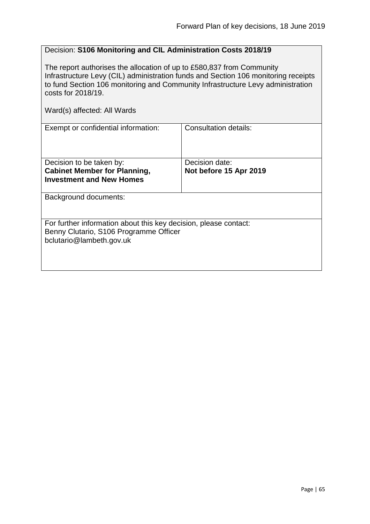## Decision: **S106 Monitoring and CIL Administration Costs 2018/19**

The report authorises the allocation of up to £580,837 from Community Infrastructure Levy (CIL) administration funds and Section 106 monitoring receipts to fund Section 106 monitoring and Community Infrastructure Levy administration costs for 2018/19.

| Exempt or confidential information:                                                                                                    | <b>Consultation details:</b> |
|----------------------------------------------------------------------------------------------------------------------------------------|------------------------------|
|                                                                                                                                        |                              |
| Decision to be taken by:                                                                                                               | Decision date:               |
| <b>Cabinet Member for Planning,</b><br><b>Investment and New Homes</b>                                                                 | Not before 15 Apr 2019       |
|                                                                                                                                        |                              |
| Background documents:                                                                                                                  |                              |
| For further information about this key decision, please contact:<br>Benny Clutario, S106 Programme Officer<br>bclutario@lambeth.gov.uk |                              |
|                                                                                                                                        |                              |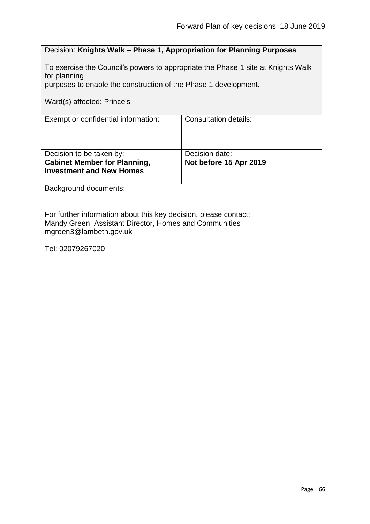# Decision: **Knights Walk – Phase 1, Appropriation for Planning Purposes**

To exercise the Council's powers to appropriate the Phase 1 site at Knights Walk for planning

purposes to enable the construction of the Phase 1 development.

Ward(s) affected: Prince's

| Exempt or confidential information:                                                                                                                  | Consultation details:  |
|------------------------------------------------------------------------------------------------------------------------------------------------------|------------------------|
| Decision to be taken by:                                                                                                                             | Decision date:         |
| <b>Cabinet Member for Planning,</b>                                                                                                                  | Not before 15 Apr 2019 |
| <b>Investment and New Homes</b>                                                                                                                      |                        |
|                                                                                                                                                      |                        |
| Background documents:                                                                                                                                |                        |
| For further information about this key decision, please contact:<br>Mandy Green, Assistant Director, Homes and Communities<br>mgreen3@lambeth.gov.uk |                        |
| Tel: 02079267020                                                                                                                                     |                        |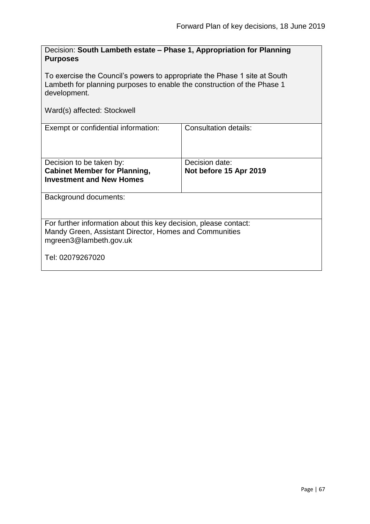| Decision: South Lambeth estate – Phase 1, Appropriation for Planning<br><b>Purposes</b>                                                                              |                                          |  |
|----------------------------------------------------------------------------------------------------------------------------------------------------------------------|------------------------------------------|--|
| To exercise the Council's powers to appropriate the Phase 1 site at South<br>Lambeth for planning purposes to enable the construction of the Phase 1<br>development. |                                          |  |
| Ward(s) affected: Stockwell                                                                                                                                          |                                          |  |
| Exempt or confidential information:                                                                                                                                  | <b>Consultation details:</b>             |  |
| Decision to be taken by:<br><b>Cabinet Member for Planning,</b><br><b>Investment and New Homes</b>                                                                   | Decision date:<br>Not before 15 Apr 2019 |  |
| Background documents:                                                                                                                                                |                                          |  |
| For further information about this key decision, please contact:<br>Mandy Green, Assistant Director, Homes and Communities<br>mgreen3@lambeth.gov.uk                 |                                          |  |
| Tel: 02079267020                                                                                                                                                     |                                          |  |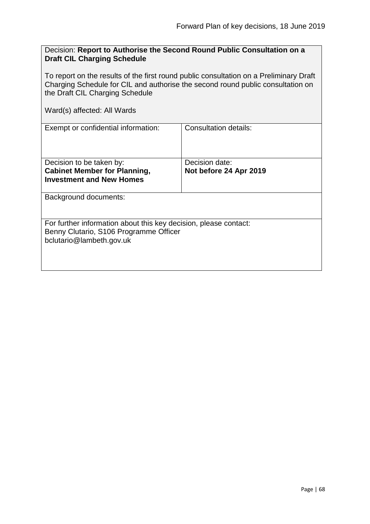# Decision: **Report to Authorise the Second Round Public Consultation on a Draft CIL Charging Schedule**

To report on the results of the first round public consultation on a Preliminary Draft Charging Schedule for CIL and authorise the second round public consultation on the Draft CIL Charging Schedule

| Exempt or confidential information:                                                                                                    | Consultation details:  |
|----------------------------------------------------------------------------------------------------------------------------------------|------------------------|
|                                                                                                                                        |                        |
| Decision to be taken by:                                                                                                               | Decision date:         |
| <b>Cabinet Member for Planning,</b>                                                                                                    | Not before 24 Apr 2019 |
| <b>Investment and New Homes</b>                                                                                                        |                        |
|                                                                                                                                        |                        |
| Background documents:                                                                                                                  |                        |
| For further information about this key decision, please contact:<br>Benny Clutario, S106 Programme Officer<br>bclutario@lambeth.gov.uk |                        |
|                                                                                                                                        |                        |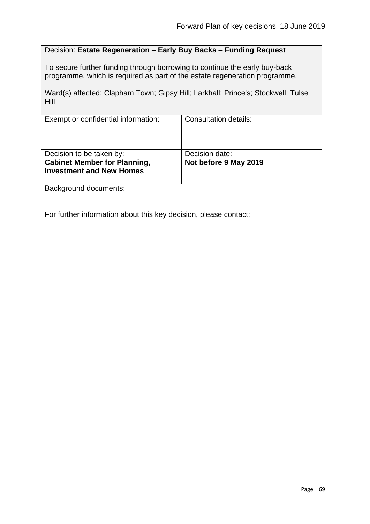# Decision: **Estate Regeneration – Early Buy Backs – Funding Request**

To secure further funding through borrowing to continue the early buy-back programme, which is required as part of the estate regeneration programme.

Ward(s) affected: Clapham Town; Gipsy Hill; Larkhall; Prince's; Stockwell; Tulse Hill

| Exempt or confidential information:                                                                | <b>Consultation details:</b>            |
|----------------------------------------------------------------------------------------------------|-----------------------------------------|
| Decision to be taken by:<br><b>Cabinet Member for Planning,</b><br><b>Investment and New Homes</b> | Decision date:<br>Not before 9 May 2019 |
| Background documents:                                                                              |                                         |
| For further information about this key decision, please contact:                                   |                                         |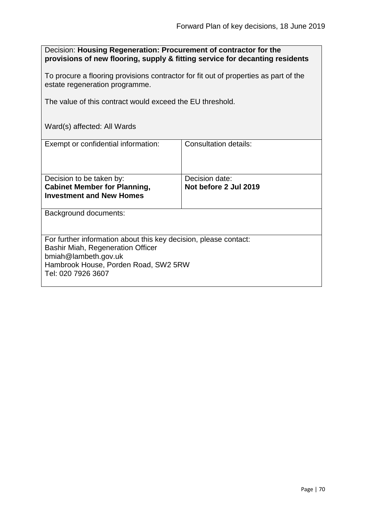| Decision: Housing Regeneration: Procurement of contractor for the<br>provisions of new flooring, supply & fitting service for decanting residents                                                  |                                         |  |
|----------------------------------------------------------------------------------------------------------------------------------------------------------------------------------------------------|-----------------------------------------|--|
| To procure a flooring provisions contractor for fit out of properties as part of the<br>estate regeneration programme.                                                                             |                                         |  |
| The value of this contract would exceed the EU threshold.                                                                                                                                          |                                         |  |
| Ward(s) affected: All Wards                                                                                                                                                                        |                                         |  |
| Exempt or confidential information:                                                                                                                                                                | <b>Consultation details:</b>            |  |
| Decision to be taken by:<br><b>Cabinet Member for Planning,</b><br><b>Investment and New Homes</b>                                                                                                 | Decision date:<br>Not before 2 Jul 2019 |  |
| Background documents:                                                                                                                                                                              |                                         |  |
| For further information about this key decision, please contact:<br><b>Bashir Miah, Regeneration Officer</b><br>bmiah@lambeth.gov.uk<br>Hambrook House, Porden Road, SW2 5RW<br>Tel: 020 7926 3607 |                                         |  |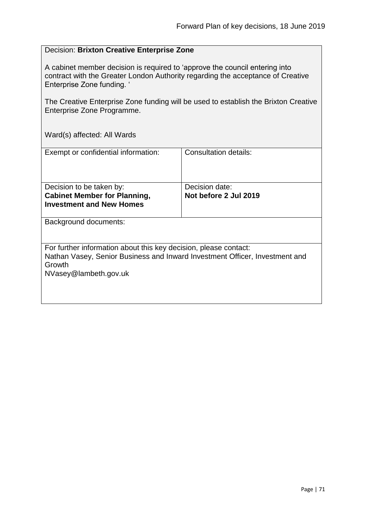# Decision: **Brixton Creative Enterprise Zone**

A cabinet member decision is required to 'approve the council entering into contract with the Greater London Authority regarding the acceptance of Creative Enterprise Zone funding. '

The Creative Enterprise Zone funding will be used to establish the Brixton Creative Enterprise Zone Programme.

| Exempt or confidential information:                                         | Consultation details: |  |
|-----------------------------------------------------------------------------|-----------------------|--|
|                                                                             |                       |  |
|                                                                             |                       |  |
|                                                                             |                       |  |
| Decision to be taken by:                                                    | Decision date:        |  |
| <b>Cabinet Member for Planning,</b>                                         | Not before 2 Jul 2019 |  |
| <b>Investment and New Homes</b>                                             |                       |  |
|                                                                             |                       |  |
|                                                                             |                       |  |
| Background documents:                                                       |                       |  |
|                                                                             |                       |  |
|                                                                             |                       |  |
| For further information about this key decision, please contact:            |                       |  |
| Nathan Vasey, Senior Business and Inward Investment Officer, Investment and |                       |  |
| Growth                                                                      |                       |  |
|                                                                             |                       |  |
| NVasey@lambeth.gov.uk                                                       |                       |  |
|                                                                             |                       |  |
|                                                                             |                       |  |
|                                                                             |                       |  |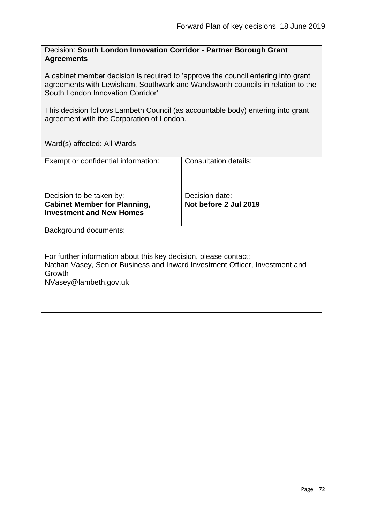Decision: **South London Innovation Corridor - Partner Borough Grant Agreements**

A cabinet member decision is required to 'approve the council entering into grant agreements with Lewisham, Southwark and Wandsworth councils in relation to the South London Innovation Corridor'

This decision follows Lambeth Council (as accountable body) entering into grant agreement with the Corporation of London.

| Exempt or confidential information:                                                                                                                                                | Consultation details:                   |  |
|------------------------------------------------------------------------------------------------------------------------------------------------------------------------------------|-----------------------------------------|--|
| Decision to be taken by:<br><b>Cabinet Member for Planning,</b><br><b>Investment and New Homes</b>                                                                                 | Decision date:<br>Not before 2 Jul 2019 |  |
| Background documents:                                                                                                                                                              |                                         |  |
| For further information about this key decision, please contact:<br>Nathan Vasey, Senior Business and Inward Investment Officer, Investment and<br>Growth<br>NVasey@lambeth.gov.uk |                                         |  |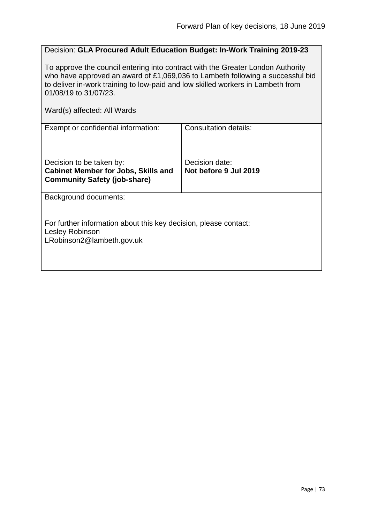## Decision: **GLA Procured Adult Education Budget: In-Work Training 2019-23**

To approve the council entering into contract with the Greater London Authority who have approved an award of £1,069,036 to Lambeth following a successful bid to deliver in-work training to low-paid and low skilled workers in Lambeth from 01/08/19 to 31/07/23.

| Exempt or confidential information:                                                 | Consultation details: |
|-------------------------------------------------------------------------------------|-----------------------|
|                                                                                     |                       |
| Decision to be taken by:                                                            | Decision date:        |
| <b>Cabinet Member for Jobs, Skills and</b>                                          | Not before 9 Jul 2019 |
| <b>Community Safety (job-share)</b>                                                 |                       |
| <b>Background documents:</b>                                                        |                       |
| For further information about this key decision, please contact:<br>Lesley Robinson |                       |
| LRobinson2@lambeth.gov.uk                                                           |                       |
|                                                                                     |                       |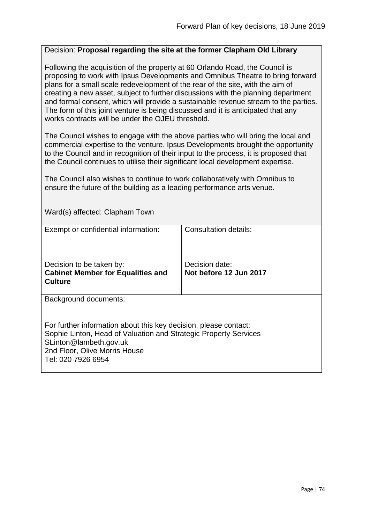#### Decision: **Proposal regarding the site at the former Clapham Old Library**

Following the acquisition of the property at 60 Orlando Road, the Council is proposing to work with Ipsus Developments and Omnibus Theatre to bring forward plans for a small scale redevelopment of the rear of the site, with the aim of creating a new asset, subject to further discussions with the planning department and formal consent, which will provide a sustainable revenue stream to the parties. The form of this joint venture is being discussed and it is anticipated that any works contracts will be under the OJEU threshold.

The Council wishes to engage with the above parties who will bring the local and commercial expertise to the venture. Ipsus Developments brought the opportunity to the Council and in recognition of their input to the process, it is proposed that the Council continues to utilise their significant local development expertise.

The Council also wishes to continue to work collaboratively with Omnibus to ensure the future of the building as a leading performance arts venue.

| <u>Waluts) allected. Clapitalli Town</u>                                                                                                                                                                              |                        |
|-----------------------------------------------------------------------------------------------------------------------------------------------------------------------------------------------------------------------|------------------------|
| Exempt or confidential information:                                                                                                                                                                                   | Consultation details:  |
| Decision to be taken by:                                                                                                                                                                                              | Decision date:         |
| <b>Cabinet Member for Equalities and</b>                                                                                                                                                                              | Not before 12 Jun 2017 |
| <b>Culture</b>                                                                                                                                                                                                        |                        |
| Background documents:                                                                                                                                                                                                 |                        |
| For further information about this key decision, please contact:<br>Sophie Linton, Head of Valuation and Strategic Property Services<br>SLinton@lambeth.gov.uk<br>2nd Floor, Olive Morris House<br>Tel: 020 7926 6954 |                        |

Ward(s) affected: Clapham Town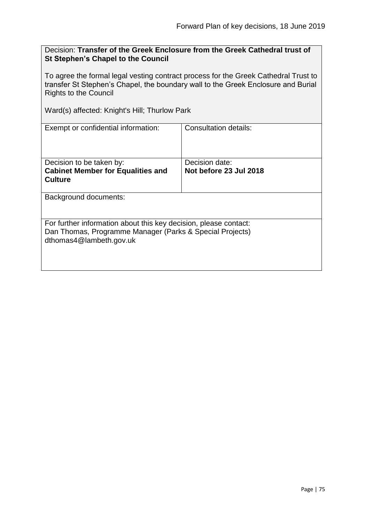Decision: **Transfer of the Greek Enclosure from the Greek Cathedral trust of St Stephen's Chapel to the Council**

To agree the formal legal vesting contract process for the Greek Cathedral Trust to transfer St Stephen's Chapel, the boundary wall to the Greek Enclosure and Burial Rights to the Council

Ward(s) affected: Knight's Hill; Thurlow Park

| Exempt or confidential information:                                                 | Consultation details:  |
|-------------------------------------------------------------------------------------|------------------------|
| Decision to be taken by:                                                            | Decision date:         |
| <b>Cabinet Member for Equalities and</b>                                            | Not before 23 Jul 2018 |
|                                                                                     |                        |
| <b>Culture</b>                                                                      |                        |
| Background documents:                                                               |                        |
|                                                                                     |                        |
| For further information about this key decision, please contact:                    |                        |
| Dan Thomas, Programme Manager (Parks & Special Projects)<br>dthomas4@lambeth.gov.uk |                        |
|                                                                                     |                        |
|                                                                                     |                        |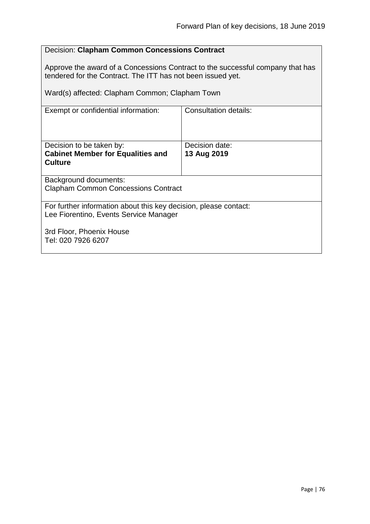## Decision: **Clapham Common Concessions Contract**

Approve the award of a Concessions Contract to the successful company that has tendered for the Contract. The ITT has not been issued yet.

Ward(s) affected: Clapham Common; Clapham Town

| Exempt or confidential information:                              | Consultation details: |  |
|------------------------------------------------------------------|-----------------------|--|
| Decision to be taken by:                                         | Decision date:        |  |
| <b>Cabinet Member for Equalities and</b>                         | 13 Aug 2019           |  |
| <b>Culture</b>                                                   |                       |  |
|                                                                  |                       |  |
| Background documents:                                            |                       |  |
| <b>Clapham Common Concessions Contract</b>                       |                       |  |
|                                                                  |                       |  |
| For further information about this key decision, please contact: |                       |  |
| Lee Fiorentino, Events Service Manager                           |                       |  |
|                                                                  |                       |  |
| 3rd Floor, Phoenix House                                         |                       |  |
| Tel: 020 7926 6207                                               |                       |  |
|                                                                  |                       |  |
|                                                                  |                       |  |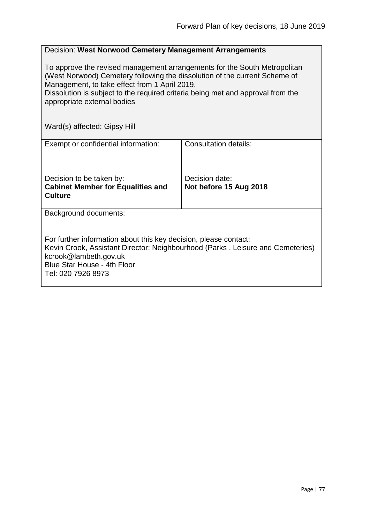| Decision: West Norwood Cemetery Management Arrangements                                                                                                                                                                                                                                                                    |                                          |  |
|----------------------------------------------------------------------------------------------------------------------------------------------------------------------------------------------------------------------------------------------------------------------------------------------------------------------------|------------------------------------------|--|
| To approve the revised management arrangements for the South Metropolitan<br>(West Norwood) Cemetery following the dissolution of the current Scheme of<br>Management, to take effect from 1 April 2019.<br>Dissolution is subject to the required criteria being met and approval from the<br>appropriate external bodies |                                          |  |
| Ward(s) affected: Gipsy Hill                                                                                                                                                                                                                                                                                               |                                          |  |
| Exempt or confidential information:                                                                                                                                                                                                                                                                                        | <b>Consultation details:</b>             |  |
| Decision to be taken by:<br><b>Cabinet Member for Equalities and</b><br><b>Culture</b>                                                                                                                                                                                                                                     | Decision date:<br>Not before 15 Aug 2018 |  |
| Background documents:                                                                                                                                                                                                                                                                                                      |                                          |  |
| For further information about this key decision, please contact:<br>Kevin Crook, Assistant Director: Neighbourhood (Parks, Leisure and Cemeteries)<br>kcrook@lambeth.gov.uk<br>Blue Star House - 4th Floor<br>Tel: 020 7926 8973                                                                                           |                                          |  |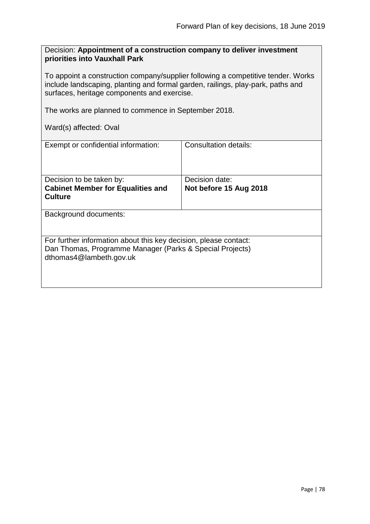Decision: **Appointment of a construction company to deliver investment priorities into Vauxhall Park**

To appoint a construction company/supplier following a competitive tender. Works include landscaping, planting and formal garden, railings, play-park, paths and surfaces, heritage components and exercise.

The works are planned to commence in September 2018.

Ward(s) affected: Oval

| Exempt or confidential information:                                                                                                                     | Consultation details:                    |  |
|---------------------------------------------------------------------------------------------------------------------------------------------------------|------------------------------------------|--|
| Decision to be taken by:<br><b>Cabinet Member for Equalities and</b><br><b>Culture</b>                                                                  | Decision date:<br>Not before 15 Aug 2018 |  |
| Background documents:                                                                                                                                   |                                          |  |
| For further information about this key decision, please contact:<br>Dan Thomas, Programme Manager (Parks & Special Projects)<br>dthomas4@lambeth.gov.uk |                                          |  |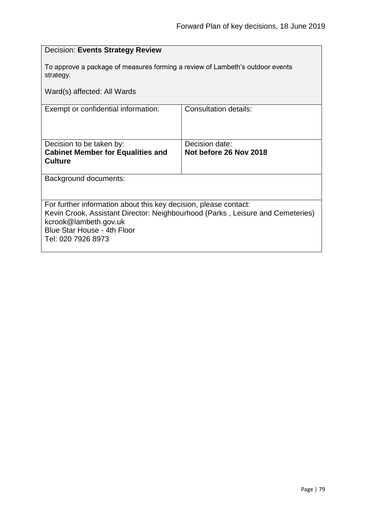| <b>Decision: Events Strategy Review</b>                                                                                                            |                        |  |
|----------------------------------------------------------------------------------------------------------------------------------------------------|------------------------|--|
| To approve a package of measures forming a review of Lambeth's outdoor events<br>strategy.                                                         |                        |  |
| Ward(s) affected: All Wards                                                                                                                        |                        |  |
| Exempt or confidential information:                                                                                                                | Consultation details:  |  |
|                                                                                                                                                    |                        |  |
| Decision to be taken by:                                                                                                                           | Decision date:         |  |
| <b>Cabinet Member for Equalities and</b><br><b>Culture</b>                                                                                         | Not before 26 Nov 2018 |  |
| Background documents:                                                                                                                              |                        |  |
|                                                                                                                                                    |                        |  |
| For further information about this key decision, please contact:<br>Kevin Crook, Assistant Director: Neighbourhood (Parks, Leisure and Cemeteries) |                        |  |
| kcrook@lambeth.gov.uk                                                                                                                              |                        |  |
| Blue Star House - 4th Floor<br>Tel: 020 7926 8973                                                                                                  |                        |  |
|                                                                                                                                                    |                        |  |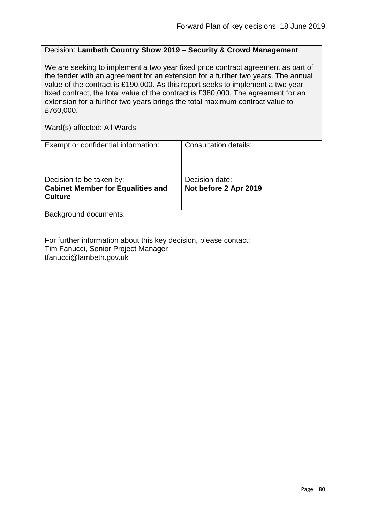# Decision: **Lambeth Country Show 2019 – Security & Crowd Management**

We are seeking to implement a two year fixed price contract agreement as part of the tender with an agreement for an extension for a further two years. The annual value of the contract is £190,000. As this report seeks to implement a two year fixed contract, the total value of the contract is £380,000. The agreement for an extension for a further two years brings the total maximum contract value to £760,000.

| Exempt or confidential information:                              | Consultation details: |  |
|------------------------------------------------------------------|-----------------------|--|
| Decision to be taken by:                                         | Decision date:        |  |
| <b>Cabinet Member for Equalities and</b>                         | Not before 2 Apr 2019 |  |
| <b>Culture</b>                                                   |                       |  |
|                                                                  |                       |  |
| Background documents:                                            |                       |  |
|                                                                  |                       |  |
|                                                                  |                       |  |
| For further information about this key decision, please contact: |                       |  |
| Tim Fanucci, Senior Project Manager                              |                       |  |
| tfanucci@lambeth.gov.uk                                          |                       |  |
|                                                                  |                       |  |
|                                                                  |                       |  |
|                                                                  |                       |  |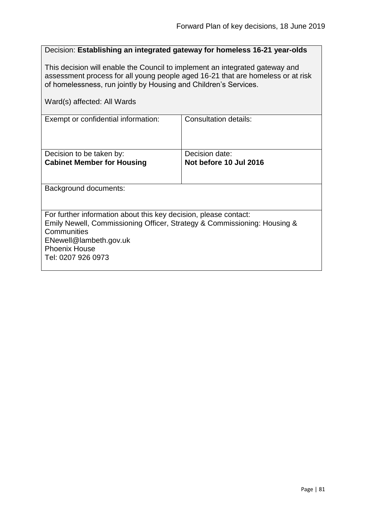| Decision: Establishing an integrated gateway for homeless 16-21 year-olds                                                                                                                                                                                          |                                          |  |
|--------------------------------------------------------------------------------------------------------------------------------------------------------------------------------------------------------------------------------------------------------------------|------------------------------------------|--|
| This decision will enable the Council to implement an integrated gateway and<br>assessment process for all young people aged 16-21 that are homeless or at risk<br>of homelessness, run jointly by Housing and Children's Services.<br>Ward(s) affected: All Wards |                                          |  |
|                                                                                                                                                                                                                                                                    |                                          |  |
| Exempt or confidential information:                                                                                                                                                                                                                                | Consultation details:                    |  |
| Decision to be taken by:<br><b>Cabinet Member for Housing</b>                                                                                                                                                                                                      | Decision date:<br>Not before 10 Jul 2016 |  |
| Background documents:                                                                                                                                                                                                                                              |                                          |  |
| For further information about this key decision, please contact:<br>Emily Newell, Commissioning Officer, Strategy & Commissioning: Housing &<br>Communities<br>ENewell@lambeth.gov.uk<br><b>Phoenix House</b><br>Tel: 0207 926 0973                                |                                          |  |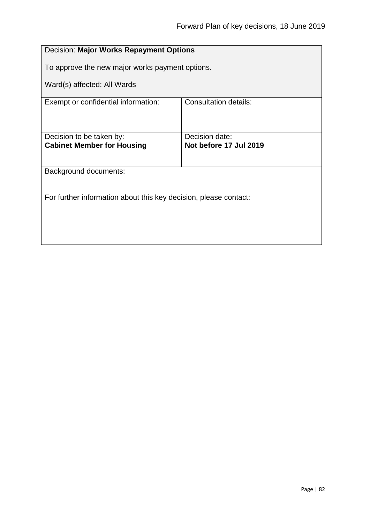| Decision: Major Works Repayment Options                          |  |  |
|------------------------------------------------------------------|--|--|
| To approve the new major works payment options.                  |  |  |
| Ward(s) affected: All Wards                                      |  |  |
| <b>Consultation details:</b>                                     |  |  |
|                                                                  |  |  |
| Decision date:<br>Not before 17 Jul 2019                         |  |  |
|                                                                  |  |  |
| Background documents:                                            |  |  |
|                                                                  |  |  |
| For further information about this key decision, please contact: |  |  |
|                                                                  |  |  |
|                                                                  |  |  |
|                                                                  |  |  |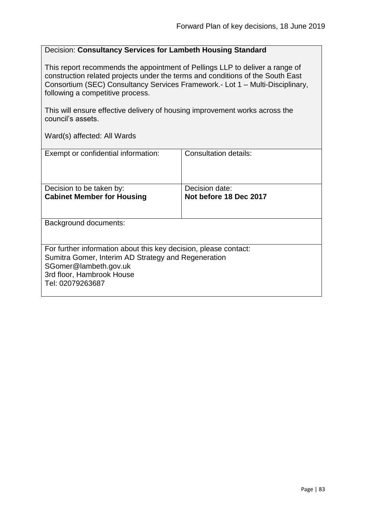## Decision: **Consultancy Services for Lambeth Housing Standard**

This report recommends the appointment of Pellings LLP to deliver a range of construction related projects under the terms and conditions of the South East Consortium (SEC) Consultancy Services Framework.- Lot 1 – Multi-Disciplinary, following a competitive process.

This will ensure effective delivery of housing improvement works across the council's assets.

| Exempt or confidential information:                                                                                                                                                               | Consultation details:  |
|---------------------------------------------------------------------------------------------------------------------------------------------------------------------------------------------------|------------------------|
| Decision to be taken by:                                                                                                                                                                          | Decision date:         |
| <b>Cabinet Member for Housing</b>                                                                                                                                                                 | Not before 18 Dec 2017 |
| Background documents:                                                                                                                                                                             |                        |
|                                                                                                                                                                                                   |                        |
| For further information about this key decision, please contact:<br>Sumitra Gomer, Interim AD Strategy and Regeneration<br>SGomer@lambeth.gov.uk<br>3rd floor, Hambrook House<br>Tel: 02079263687 |                        |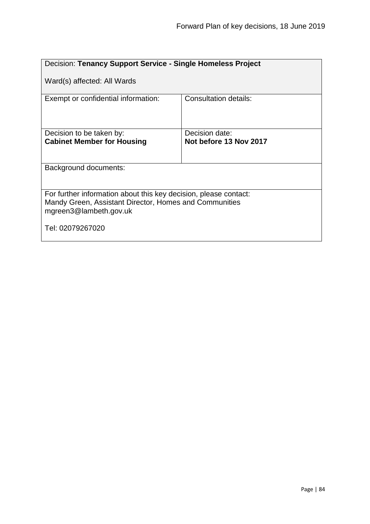| Decision: Tenancy Support Service - Single Homeless Project                                                                                          |                        |  |
|------------------------------------------------------------------------------------------------------------------------------------------------------|------------------------|--|
| Ward(s) affected: All Wards                                                                                                                          |                        |  |
| Exempt or confidential information:                                                                                                                  | Consultation details:  |  |
| Decision to be taken by:                                                                                                                             | Decision date:         |  |
| <b>Cabinet Member for Housing</b>                                                                                                                    | Not before 13 Nov 2017 |  |
|                                                                                                                                                      |                        |  |
| Background documents:                                                                                                                                |                        |  |
| For further information about this key decision, please contact:<br>Mandy Green, Assistant Director, Homes and Communities<br>mgreen3@lambeth.gov.uk |                        |  |
| Tel: 02079267020                                                                                                                                     |                        |  |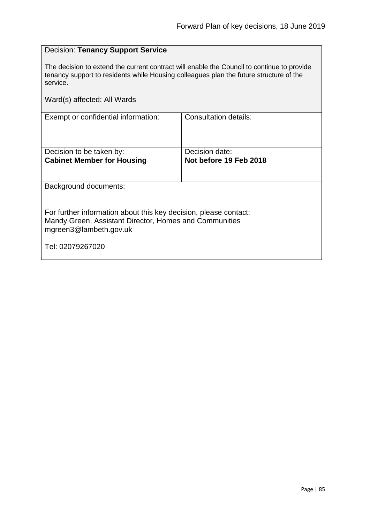| <b>Decision: Tenancy Support Service</b>                                                                                                                                                         |                                          |  |
|--------------------------------------------------------------------------------------------------------------------------------------------------------------------------------------------------|------------------------------------------|--|
| The decision to extend the current contract will enable the Council to continue to provide<br>tenancy support to residents while Housing colleagues plan the future structure of the<br>service. |                                          |  |
| Ward(s) affected: All Wards                                                                                                                                                                      |                                          |  |
| Exempt or confidential information:                                                                                                                                                              | <b>Consultation details:</b>             |  |
| Decision to be taken by:<br><b>Cabinet Member for Housing</b>                                                                                                                                    | Decision date:<br>Not before 19 Feb 2018 |  |
| Background documents:                                                                                                                                                                            |                                          |  |
| For further information about this key decision, please contact:<br>Mandy Green, Assistant Director, Homes and Communities<br>mgreen3@lambeth.gov.uk                                             |                                          |  |
| Tel: 02079267020                                                                                                                                                                                 |                                          |  |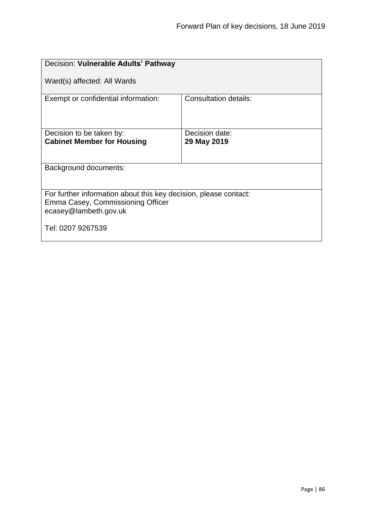| Decision: Vulnerable Adults' Pathway                                                                                           |                              |  |
|--------------------------------------------------------------------------------------------------------------------------------|------------------------------|--|
| Ward(s) affected: All Wards                                                                                                    |                              |  |
| Exempt or confidential information:                                                                                            | <b>Consultation details:</b> |  |
| Decision to be taken by:                                                                                                       | Decision date:               |  |
| <b>Cabinet Member for Housing</b>                                                                                              | 29 May 2019                  |  |
| Background documents:                                                                                                          |                              |  |
| For further information about this key decision, please contact:<br>Emma Casey, Commissioning Officer<br>ecasey@lambeth.gov.uk |                              |  |
| Tel: 0207 9267539                                                                                                              |                              |  |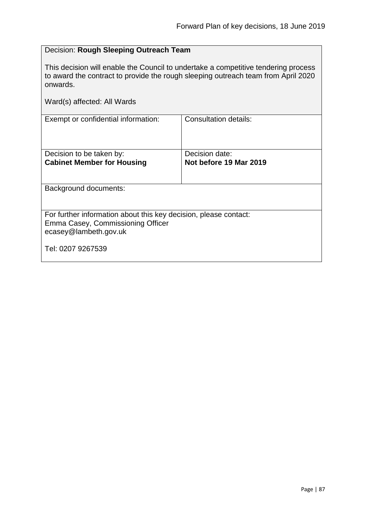## Decision: **Rough Sleeping Outreach Team**

This decision will enable the Council to undertake a competitive tendering process to award the contract to provide the rough sleeping outreach team from April 2020 onwards.

| Exempt or confidential information:                                                                                            | Consultation details:                    |  |
|--------------------------------------------------------------------------------------------------------------------------------|------------------------------------------|--|
|                                                                                                                                |                                          |  |
| Decision to be taken by:<br><b>Cabinet Member for Housing</b>                                                                  | Decision date:<br>Not before 19 Mar 2019 |  |
| Background documents:                                                                                                          |                                          |  |
| For further information about this key decision, please contact:<br>Emma Casey, Commissioning Officer<br>ecasey@lambeth.gov.uk |                                          |  |
| Tel: 0207 9267539                                                                                                              |                                          |  |